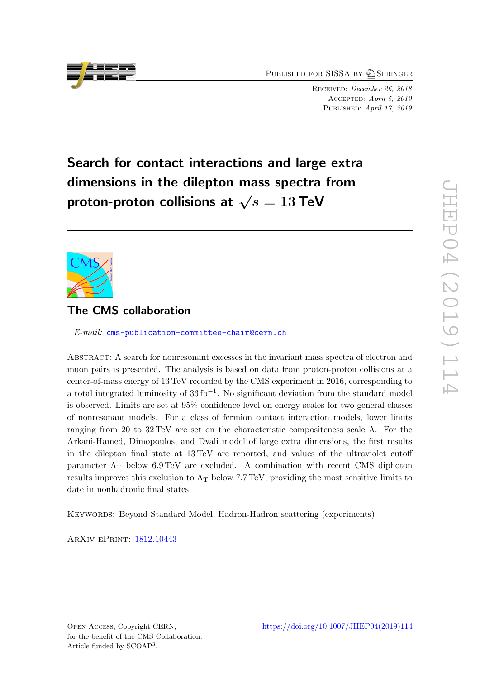PUBLISHED FOR SISSA BY 2 SPRINGER

Received: December 26, 2018 Accepted: April 5, 2019 PUBLISHED: April 17, 2019

# Search for contact interactions and large extra dimensions in the dilepton mass spectra from proton-proton collisions at  $\sqrt{s} = 13$  TeV

![](_page_0_Picture_4.jpeg)

# The CMS collaboration

E-mail: [cms-publication-committee-chair@cern.ch](mailto:cms-publication-committee-chair@cern.ch)

Abstract: A search for nonresonant excesses in the invariant mass spectra of electron and muon pairs is presented. The analysis is based on data from proton-proton collisions at a center-of-mass energy of 13 TeV recorded by the CMS experiment in 2016, corresponding to a total integrated luminosity of  $36 \text{ fb}^{-1}$ . No significant deviation from the standard model is observed. Limits are set at 95% confidence level on energy scales for two general classes of nonresonant models. For a class of fermion contact interaction models, lower limits ranging from 20 to 32 TeV are set on the characteristic compositeness scale Λ. For the Arkani-Hamed, Dimopoulos, and Dvali model of large extra dimensions, the first results in the dilepton final state at 13 TeV are reported, and values of the ultraviolet cutoff parameter  $\Lambda_T$  below 6.9 TeV are excluded. A combination with recent CMS diphoton results improves this exclusion to  $\Lambda_T$  below 7.7 TeV, providing the most sensitive limits to date in nonhadronic final states.

Keywords: Beyond Standard Model, Hadron-Hadron scattering (experiments)

ArXiv ePrint: [1812.10443](https://arxiv.org/abs/1812.10443)

![](_page_0_Picture_12.jpeg)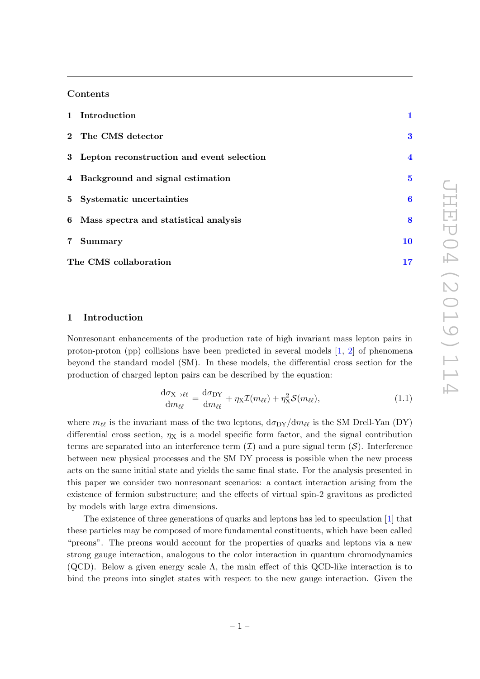### Contents

|                       | 1 Introduction                              |                         |
|-----------------------|---------------------------------------------|-------------------------|
|                       | 2 The CMS detector                          | $\bf{3}$                |
|                       | 3 Lepton reconstruction and event selection | $\overline{\mathbf{4}}$ |
|                       | 4 Background and signal estimation          | $\bf{5}$                |
|                       | 5 Systematic uncertainties                  | $\bf{6}$                |
|                       | 6 Mass spectra and statistical analysis     | 8                       |
| $7\degree$            | <b>Summary</b>                              | 10                      |
| The CMS collaboration |                                             |                         |

## <span id="page-1-0"></span>1 Introduction

Nonresonant enhancements of the production rate of high invariant mass lepton pairs in proton-proton (pp) collisions have been predicted in several models [\[1,](#page-14-0) [2\]](#page-14-1) of phenomena beyond the standard model (SM). In these models, the differential cross section for the production of charged lepton pairs can be described by the equation:

<span id="page-1-1"></span>
$$
\frac{\mathrm{d}\sigma_{\mathrm{X}\to\ell\ell}}{\mathrm{d}m_{\ell\ell}} = \frac{\mathrm{d}\sigma_{\mathrm{DY}}}{\mathrm{d}m_{\ell\ell}} + \eta_{\mathrm{X}}\mathcal{I}(m_{\ell\ell}) + \eta_{\mathrm{X}}^2\mathcal{S}(m_{\ell\ell}),\tag{1.1}
$$

where  $m_{\ell\ell}$  is the invariant mass of the two leptons,  $d\sigma_{DY}/dm_{\ell\ell}$  is the SM Drell-Yan (DY) differential cross section,  $\eta_X$  is a model specific form factor, and the signal contribution terms are separated into an interference term  $(\mathcal{I})$  and a pure signal term  $(\mathcal{S})$ . Interference between new physical processes and the SM DY process is possible when the new process acts on the same initial state and yields the same final state. For the analysis presented in this paper we consider two nonresonant scenarios: a contact interaction arising from the existence of fermion substructure; and the effects of virtual spin-2 gravitons as predicted by models with large extra dimensions.

The existence of three generations of quarks and leptons has led to speculation [\[1\]](#page-14-0) that these particles may be composed of more fundamental constituents, which have been called "preons". The preons would account for the properties of quarks and leptons via a new strong gauge interaction, analogous to the color interaction in quantum chromodynamics (QCD). Below a given energy scale  $\Lambda$ , the main effect of this QCD-like interaction is to bind the preons into singlet states with respect to the new gauge interaction. Given the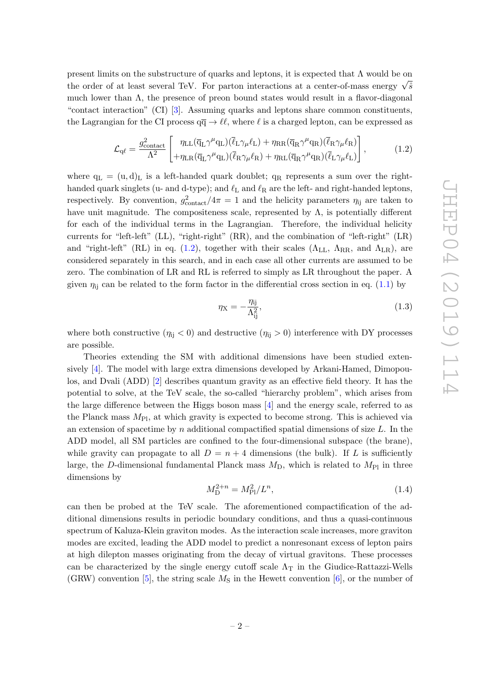present limits on the substructure of quarks and leptons, it is expected that  $\Lambda$  would be on the order of at least several TeV. For parton interactions at a center-of-mass energy  $\sqrt{\hat{s}}$ much lower than  $\Lambda$ , the presence of preon bound states would result in a flavor-diagonal "contact interaction" (CI) [\[3\]](#page-14-2). Assuming quarks and leptons share common constituents, the Lagrangian for the CI process  $q\bar{q} \to \ell \ell$ , where  $\ell$  is a charged lepton, can be expressed as

<span id="page-2-0"></span>
$$
\mathcal{L}_{q\ell} = \frac{g_{\text{contact}}^2}{\Lambda^2} \left[ \eta_{LL} (\overline{q}_L \gamma^\mu q_L) (\overline{\ell}_L \gamma_\mu \ell_L) + \eta_{RR} (\overline{q}_R \gamma^\mu q_R) (\overline{\ell}_R \gamma_\mu \ell_R) \right],
$$
\n
$$
(1.2)
$$

where  $q_L = (u, d)_L$  is a left-handed quark doublet;  $q_R$  represents a sum over the righthanded quark singlets (u- and d-type); and  $\ell_L$  and  $\ell_R$  are the left- and right-handed leptons, respectively. By convention,  $g_{\text{contact}}^2/4\pi = 1$  and the helicity parameters  $\eta_{ij}$  are taken to have unit magnitude. The compositeness scale, represented by  $\Lambda$ , is potentially different for each of the individual terms in the Lagrangian. Therefore, the individual helicity currents for "left-left" (LL), "right-right" (RR), and the combination of "left-right" (LR) and "right-left" (RL) in eq. [\(1.2\)](#page-2-0), together with their scales ( $\Lambda_{\text{LL}}$ ,  $\Lambda_{\text{RR}}$ , and  $\Lambda_{\text{LR}}$ ), are considered separately in this search, and in each case all other currents are assumed to be zero. The combination of LR and RL is referred to simply as LR throughout the paper. A given  $\eta_{ii}$  can be related to the form factor in the differential cross section in eq. [\(1.1\)](#page-1-1) by

$$
\eta_X = -\frac{\eta_{ij}}{\Lambda_{ij}^2},\tag{1.3}
$$

where both constructive  $(\eta_{ij} < 0)$  and destructive  $(\eta_{ij} > 0)$  interference with DY processes are possible.

Theories extending the SM with additional dimensions have been studied extensively [\[4\]](#page-14-3). The model with large extra dimensions developed by Arkani-Hamed, Dimopoulos, and Dvali (ADD) [\[2\]](#page-14-1) describes quantum gravity as an effective field theory. It has the potential to solve, at the TeV scale, the so-called "hierarchy problem", which arises from the large difference between the Higgs boson mass [\[4\]](#page-14-3) and the energy scale, referred to as the Planck mass  $M_{\text{Pl}}$ , at which gravity is expected to become strong. This is achieved via an extension of spacetime by n additional compactified spatial dimensions of size  $L$ . In the ADD model, all SM particles are confined to the four-dimensional subspace (the brane), while gravity can propagate to all  $D = n + 4$  dimensions (the bulk). If L is sufficiently large, the D-dimensional fundamental Planck mass  $M_D$ , which is related to  $M_{\text{Pl}}$  in three dimensions by

$$
M_{\rm D}^{2+n} = M_{\rm Pl}^2 / L^n,\tag{1.4}
$$

can then be probed at the TeV scale. The aforementioned compactification of the additional dimensions results in periodic boundary conditions, and thus a quasi-continuous spectrum of Kaluza-Klein graviton modes. As the interaction scale increases, more graviton modes are excited, leading the ADD model to predict a nonresonant excess of lepton pairs at high dilepton masses originating from the decay of virtual gravitons. These processes can be characterized by the single energy cutoff scale  $\Lambda_{\rm T}$  in the Giudice-Rattazzi-Wells (GRW) convention [\[5\]](#page-14-4), the string scale  $M<sub>S</sub>$  in the Hewett convention [\[6\]](#page-14-5), or the number of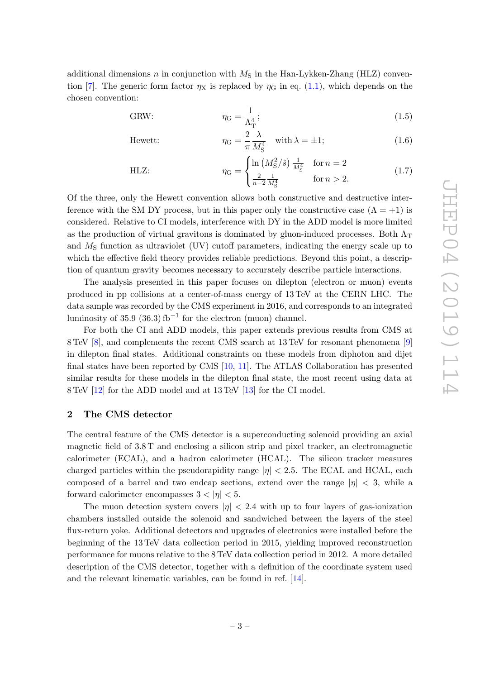additional dimensions n in conjunction with  $M<sub>S</sub>$  in the Han-Lykken-Zhang (HLZ) conven-tion [\[7\]](#page-14-6). The generic form factor  $\eta_X$  is replaced by  $\eta_G$  in eq. [\(1.1\)](#page-1-1), which depends on the chosen convention:

GRW: 
$$
\eta_G = \frac{1}{\Lambda_T^4};
$$
 (1.5)

Hewett: 
$$
\eta_{\rm G} = \frac{2}{\pi} \frac{\lambda}{M_{\rm S}^4} \quad \text{with } \lambda = \pm 1; \tag{1.6}
$$

HLZ: 
$$
\eta_{\rm G} = \begin{cases} \ln \left( M_{\rm S}^2 / \hat{s} \right) \frac{1}{M_{\rm S}^4} & \text{for } n = 2\\ \frac{2}{n-2} \frac{1}{M_{\rm S}^4} & \text{for } n > 2. \end{cases}
$$
(1.7)

Of the three, only the Hewett convention allows both constructive and destructive interference with the SM DY process, but in this paper only the constructive case  $(\Lambda = +1)$  is considered. Relative to CI models, interference with DY in the ADD model is more limited as the production of virtual gravitons is dominated by gluon-induced processes. Both  $\Lambda_T$ and  $M<sub>S</sub>$  function as ultraviolet (UV) cutoff parameters, indicating the energy scale up to which the effective field theory provides reliable predictions. Beyond this point, a description of quantum gravity becomes necessary to accurately describe particle interactions.

The analysis presented in this paper focuses on dilepton (electron or muon) events produced in pp collisions at a center-of-mass energy of 13 TeV at the CERN LHC. The data sample was recorded by the CMS experiment in 2016, and corresponds to an integrated luminosity of 35.9 (36.3) fb<sup>-1</sup> for the electron (muon) channel.

For both the CI and ADD models, this paper extends previous results from CMS at 8 TeV [\[8\]](#page-14-7), and complements the recent CMS search at 13 TeV for resonant phenomena [\[9\]](#page-14-8) in dilepton final states. Additional constraints on these models from diphoton and dijet final states have been reported by CMS [\[10,](#page-14-9) [11\]](#page-14-10). The ATLAS Collaboration has presented similar results for these models in the dilepton final state, the most recent using data at 8 TeV [\[12\]](#page-14-11) for the ADD model and at 13 TeV [\[13\]](#page-14-12) for the CI model.

#### <span id="page-3-0"></span>2 The CMS detector

The central feature of the CMS detector is a superconducting solenoid providing an axial magnetic field of 3.8 T and enclosing a silicon strip and pixel tracker, an electromagnetic calorimeter (ECAL), and a hadron calorimeter (HCAL). The silicon tracker measures charged particles within the pseudorapidity range  $|\eta| < 2.5$ . The ECAL and HCAL, each composed of a barrel and two endcap sections, extend over the range  $|\eta| < 3$ , while a forward calorimeter encompasses  $3 < |\eta| < 5$ .

The muon detection system covers  $|\eta| < 2.4$  with up to four layers of gas-ionization chambers installed outside the solenoid and sandwiched between the layers of the steel flux-return yoke. Additional detectors and upgrades of electronics were installed before the beginning of the 13 TeV data collection period in 2015, yielding improved reconstruction performance for muons relative to the 8 TeV data collection period in 2012. A more detailed description of the CMS detector, together with a definition of the coordinate system used and the relevant kinematic variables, can be found in ref. [\[14\]](#page-14-13).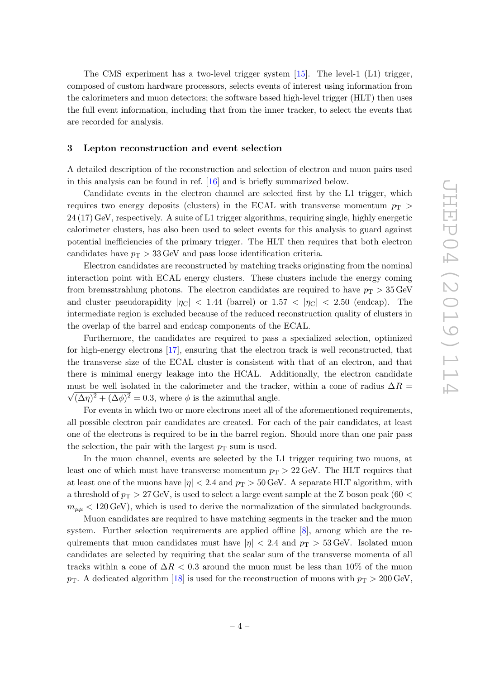The CMS experiment has a two-level trigger system  $[15]$ . The level-1 (L1) trigger, composed of custom hardware processors, selects events of interest using information from the calorimeters and muon detectors; the software based high-level trigger (HLT) then uses the full event information, including that from the inner tracker, to select the events that are recorded for analysis.

#### <span id="page-4-0"></span>3 Lepton reconstruction and event selection

A detailed description of the reconstruction and selection of electron and muon pairs used in this analysis can be found in ref. [\[16\]](#page-15-1) and is briefly summarized below.

Candidate events in the electron channel are selected first by the L1 trigger, which requires two energy deposits (clusters) in the ECAL with transverse momentum  $p_T >$ 24 (17) GeV, respectively. A suite of L1 trigger algorithms, requiring single, highly energetic calorimeter clusters, has also been used to select events for this analysis to guard against potential inefficiencies of the primary trigger. The HLT then requires that both electron candidates have  $p_T > 33$  GeV and pass loose identification criteria.

Electron candidates are reconstructed by matching tracks originating from the nominal interaction point with ECAL energy clusters. These clusters include the energy coming from bremsstrahlung photons. The electron candidates are required to have  $p_T > 35 \,\text{GeV}$ and cluster pseudorapidity  $|\eta_{\rm C}| < 1.44$  (barrel) or  $1.57 < |\eta_{\rm C}| < 2.50$  (endcap). The intermediate region is excluded because of the reduced reconstruction quality of clusters in the overlap of the barrel and endcap components of the ECAL.

Furthermore, the candidates are required to pass a specialized selection, optimized for high-energy electrons [\[17\]](#page-15-2), ensuring that the electron track is well reconstructed, that the transverse size of the ECAL cluster is consistent with that of an electron, and that there is minimal energy leakage into the HCAL. Additionally, the electron candidate must be well isolated in the calorimeter and the tracker, within a cone of radius  $\Delta R =$  $(\Delta \eta)^2 + (\Delta \phi)^2 = 0.3$ , where  $\phi$  is the azimuthal angle.

For events in which two or more electrons meet all of the aforementioned requirements, all possible electron pair candidates are created. For each of the pair candidates, at least one of the electrons is required to be in the barrel region. Should more than one pair pass the selection, the pair with the largest  $p<sub>T</sub>$  sum is used.

In the muon channel, events are selected by the L1 trigger requiring two muons, at least one of which must have transverse momentum  $p_T > 22 \text{ GeV}$ . The HLT requires that at least one of the muons have  $|\eta| < 2.4$  and  $p_T > 50$  GeV. A separate HLT algorithm, with a threshold of  $p_T > 27$  GeV, is used to select a large event sample at the Z boson peak (60  $\lt$  $m_{\mu\mu}$  < 120 GeV), which is used to derive the normalization of the simulated backgrounds.

Muon candidates are required to have matching segments in the tracker and the muon system. Further selection requirements are applied offline [\[8\]](#page-14-7), among which are the requirements that muon candidates must have  $|\eta| < 2.4$  and  $p_T > 53$  GeV. Isolated muon candidates are selected by requiring that the scalar sum of the transverse momenta of all tracks within a cone of  $\Delta R < 0.3$  around the muon must be less than 10% of the muon  $p_T$ . A dedicated algorithm [\[18\]](#page-15-3) is used for the reconstruction of muons with  $p_T > 200$  GeV,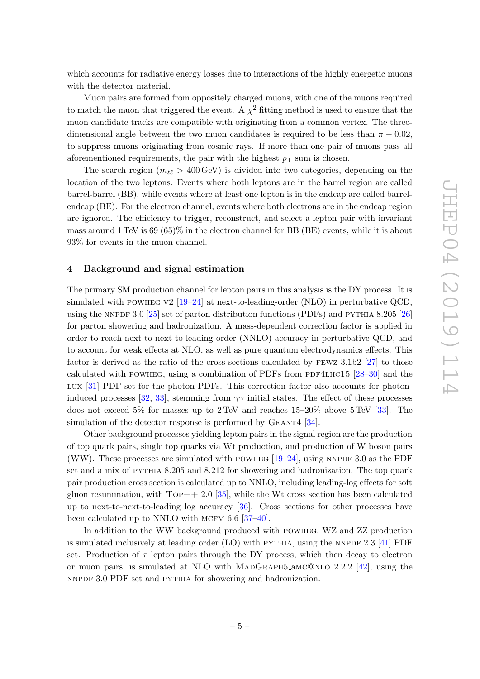which accounts for radiative energy losses due to interactions of the highly energetic muons with the detector material.

Muon pairs are formed from oppositely charged muons, with one of the muons required to match the muon that triggered the event. A  $\chi^2$  fitting method is used to ensure that the muon candidate tracks are compatible with originating from a common vertex. The threedimensional angle between the two muon candidates is required to be less than  $\pi - 0.02$ , to suppress muons originating from cosmic rays. If more than one pair of muons pass all aforementioned requirements, the pair with the highest  $p<sub>T</sub>$  sum is chosen.

The search region ( $m_{\ell\ell} > 400 \,\text{GeV}$ ) is divided into two categories, depending on the location of the two leptons. Events where both leptons are in the barrel region are called barrel-barrel (BB), while events where at least one lepton is in the endcap are called barrelendcap (BE). For the electron channel, events where both electrons are in the endcap region are ignored. The efficiency to trigger, reconstruct, and select a lepton pair with invariant mass around 1 TeV is 69 (65)% in the electron channel for BB (BE) events, while it is about 93% for events in the muon channel.

#### <span id="page-5-0"></span>4 Background and signal estimation

The primary SM production channel for lepton pairs in this analysis is the DY process. It is simulated with POWHEG V2  $[19–24]$  $[19–24]$  at next-to-leading-order (NLO) in perturbative QCD, using the NNPDF 3.0 [\[25\]](#page-15-6) set of parton distribution functions (PDFs) and PYTHIA 8.205 [\[26\]](#page-15-7) for parton showering and hadronization. A mass-dependent correction factor is applied in order to reach next-to-next-to-leading order (NNLO) accuracy in perturbative QCD, and to account for weak effects at NLO, as well as pure quantum electrodynamics effects. This factor is derived as the ratio of the cross sections calculated by fewz 3.1b2 [\[27\]](#page-15-8) to those calculated with POWHEG, using a combination of PDFs from PDF4LHC15  $[28-30]$  $[28-30]$  and the lux [\[31\]](#page-15-11) PDF set for the photon PDFs. This correction factor also accounts for photon-induced processes [\[32,](#page-15-12) [33\]](#page-16-0), stemming from  $\gamma\gamma$  initial states. The effect of these processes does not exceed 5% for masses up to 2 TeV and reaches 15–20% above 5 TeV [\[33\]](#page-16-0). The simulation of the detector response is performed by  $GEANT4$  [\[34\]](#page-16-1).

Other background processes yielding lepton pairs in the signal region are the production of top quark pairs, single top quarks via Wt production, and production of W boson pairs (WW). These processes are simulated with POWHEG  $[19–24]$  $[19–24]$ , using NNPDF 3.0 as the PDF set and a mix of pythia 8.205 and 8.212 for showering and hadronization. The top quark pair production cross section is calculated up to NNLO, including leading-log effects for soft gluon resummation, with  $Top++ 2.0$  [\[35\]](#page-16-2), while the Wt cross section has been calculated up to next-to-next-to-leading log accuracy [\[36\]](#page-16-3). Cross sections for other processes have been calculated up to NNLO with MCFM  $6.6$  [\[37–](#page-16-4)[40\]](#page-16-5).

In addition to the WW background produced with powheg, WZ and ZZ production is simulated inclusively at leading order  $(LO)$  with PYTHIA, using the NNPDF 2.3 [\[41\]](#page-16-6) PDF set. Production of  $\tau$  lepton pairs through the DY process, which then decay to electron or muon pairs, is simulated at NLO with MADGRAPH5 aMC@NLO 2.2.2 [\[42\]](#page-16-7), using the nnpdf 3.0 PDF set and pythia for showering and hadronization.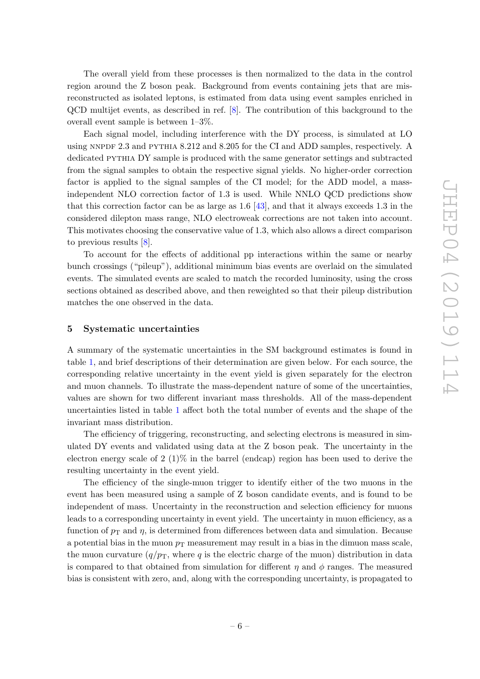The overall yield from these processes is then normalized to the data in the control region around the Z boson peak. Background from events containing jets that are misreconstructed as isolated leptons, is estimated from data using event samples enriched in QCD multijet events, as described in ref. [\[8\]](#page-14-7). The contribution of this background to the overall event sample is between 1–3%.

Each signal model, including interference with the DY process, is simulated at LO using NNPDF 2.3 and PYTHIA 8.212 and 8.205 for the CI and ADD samples, respectively. A dedicated pythia DY sample is produced with the same generator settings and subtracted from the signal samples to obtain the respective signal yields. No higher-order correction factor is applied to the signal samples of the CI model; for the ADD model, a massindependent NLO correction factor of 1.3 is used. While NNLO QCD predictions show that this correction factor can be as large as  $1.6 \, \vert 43 \vert$ , and that it always exceeds 1.3 in the considered dilepton mass range, NLO electroweak corrections are not taken into account. This motivates choosing the conservative value of 1.3, which also allows a direct comparison to previous results [\[8\]](#page-14-7).

To account for the effects of additional pp interactions within the same or nearby bunch crossings ("pileup"), additional minimum bias events are overlaid on the simulated events. The simulated events are scaled to match the recorded luminosity, using the cross sections obtained as described above, and then reweighted so that their pileup distribution matches the one observed in the data.

#### <span id="page-6-0"></span>5 Systematic uncertainties

A summary of the systematic uncertainties in the SM background estimates is found in table [1,](#page-7-0) and brief descriptions of their determination are given below. For each source, the corresponding relative uncertainty in the event yield is given separately for the electron and muon channels. To illustrate the mass-dependent nature of some of the uncertainties, values are shown for two different invariant mass thresholds. All of the mass-dependent uncertainties listed in table [1](#page-7-0) affect both the total number of events and the shape of the invariant mass distribution.

The efficiency of triggering, reconstructing, and selecting electrons is measured in simulated DY events and validated using data at the Z boson peak. The uncertainty in the electron energy scale of  $2 \left(1\right)\%$  in the barrel (endcap) region has been used to derive the resulting uncertainty in the event yield.

The efficiency of the single-muon trigger to identify either of the two muons in the event has been measured using a sample of Z boson candidate events, and is found to be independent of mass. Uncertainty in the reconstruction and selection efficiency for muons leads to a corresponding uncertainty in event yield. The uncertainty in muon efficiency, as a function of  $p_T$  and  $\eta$ , is determined from differences between data and simulation. Because a potential bias in the muon  $p<sub>T</sub>$  measurement may result in a bias in the dimuon mass scale, the muon curvature  $(q/p<sub>T</sub>)$ , where q is the electric charge of the muon) distribution in data is compared to that obtained from simulation for different  $\eta$  and  $\phi$  ranges. The measured bias is consistent with zero, and, along with the corresponding uncertainty, is propagated to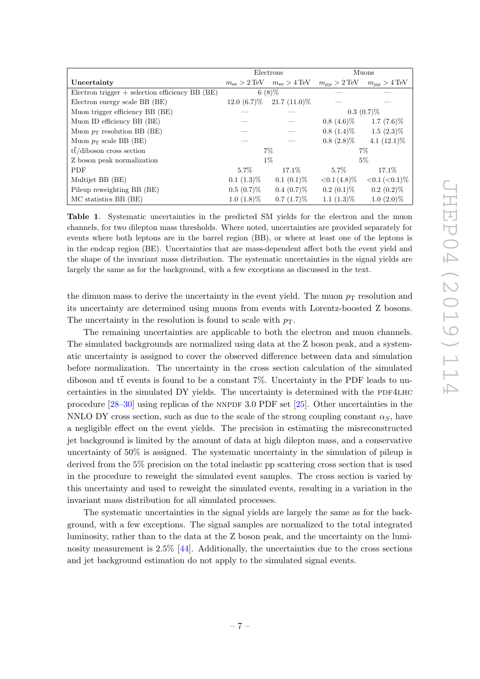|                                                   |                           | Electrons                 | Muons                         |                               |  |
|---------------------------------------------------|---------------------------|---------------------------|-------------------------------|-------------------------------|--|
| Uncertainty                                       | $m_{ee} > 2 \,\text{TeV}$ | $m_{ee} > 4 \,\text{TeV}$ | $m_{\mu\mu} > 2 \,\text{TeV}$ | $m_{\mu\mu} > 4 \,\text{TeV}$ |  |
| Electron trigger $+$ selection efficiency BB (BE) |                           | $6(8)\%$                  |                               |                               |  |
| Electron energy scale BB (BE)                     | 12.0 $(6.7)\%$            | $21.7(11.0)\%$            |                               |                               |  |
| Muon trigger efficiency BB (BE)                   |                           |                           | $0.3(0.7)\%$                  |                               |  |
| Muon ID efficiency BB (BE)                        |                           |                           | $0.8(4.6)\%$                  | 1.7 $(7.6)\%$                 |  |
| Muon $p_T$ resolution BB (BE)                     |                           |                           | $0.8(1.4)\%$                  | $1.5(2.3)\%$                  |  |
| Muon $p_T$ scale BB (BE)                          |                           |                           | $0.8(2.8)\%$                  | 4.1 $(12.1)\%$                |  |
| $t\bar{t}/diboson$ cross section                  | $7\%$                     |                           | $7\%$                         |                               |  |
| Z boson peak normalization                        | $1\%$                     |                           | $5\%$                         |                               |  |
| <b>PDF</b>                                        | $5.7\%$                   | 17.1\%                    | $5.7\%$                       | 17.1\%                        |  |
| Multijet BB (BE)                                  | $0.1(1.3)\%$              | $0.1(0.1)\%$              | $<0.1(4.8)\%$                 | $< 0.1 (-0.1)\%$              |  |
| Pileup reweighting BB (BE)                        | $0.5(0.7)\%$              | $0.4~(0.7)\%$             | $0.2(0.1)\%$                  | $0.2(0.2)\%$                  |  |
| MC statistics BB (BE)                             | $1.0(1.8)\%$              | $0.7(1.7)\%$              | 1.1 $(1.3)\%$                 | $1.0(2.0)\%$                  |  |

<span id="page-7-0"></span>Table 1. Systematic uncertainties in the predicted SM yields for the electron and the muon channels, for two dilepton mass thresholds. Where noted, uncertainties are provided separately for events where both leptons are in the barrel region (BB), or where at least one of the leptons is in the endcap region (BE). Uncertainties that are mass-dependent affect both the event yield and the shape of the invariant mass distribution. The systematic uncertainties in the signal yields are largely the same as for the background, with a few exceptions as discussed in the text.

the dimuon mass to derive the uncertainty in the event yield. The muon  $p<sub>T</sub>$  resolution and its uncertainty are determined using muons from events with Lorentz-boosted Z bosons. The uncertainty in the resolution is found to scale with  $p_T$ .

The remaining uncertainties are applicable to both the electron and muon channels. The simulated backgrounds are normalized using data at the Z boson peak, and a systematic uncertainty is assigned to cover the observed difference between data and simulation before normalization. The uncertainty in the cross section calculation of the simulated diboson and  $t\bar{t}$  events is found to be a constant 7%. Uncertainty in the PDF leads to uncertainties in the simulated DY yields. The uncertainty is determined with the  $PDF4LHC$ procedure  $[28–30]$  $[28–30]$  using replicas of the NNPDF 3.0 PDF set  $[25]$ . Other uncertainties in the NNLO DY cross section, such as due to the scale of the strong coupling constant  $\alpha_S$ , have a negligible effect on the event yields. The precision in estimating the misreconstructed jet background is limited by the amount of data at high dilepton mass, and a conservative uncertainty of 50% is assigned. The systematic uncertainty in the simulation of pileup is derived from the 5% precision on the total inelastic pp scattering cross section that is used in the procedure to reweight the simulated event samples. The cross section is varied by this uncertainty and used to reweight the simulated events, resulting in a variation in the invariant mass distribution for all simulated processes.

The systematic uncertainties in the signal yields are largely the same as for the background, with a few exceptions. The signal samples are normalized to the total integrated luminosity, rather than to the data at the Z boson peak, and the uncertainty on the luminosity measurement is 2.5% [\[44\]](#page-16-9). Additionally, the uncertainties due to the cross sections and jet background estimation do not apply to the simulated signal events.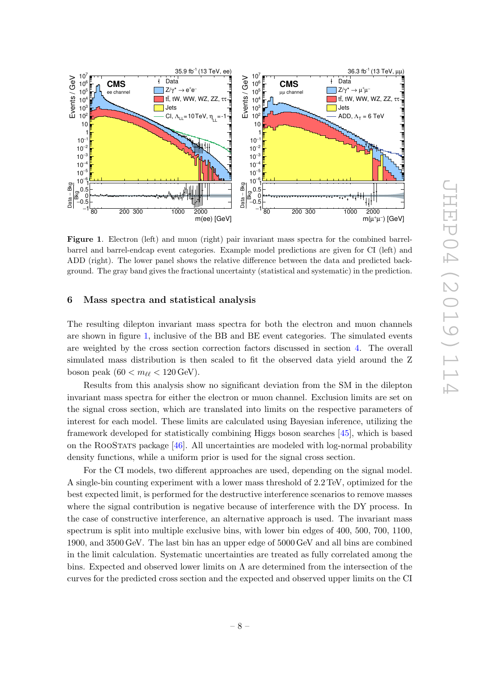![](_page_8_Figure_1.jpeg)

<span id="page-8-1"></span>Figure 1. Electron (left) and muon (right) pair invariant mass spectra for the combined barrelbarrel and barrel-endcap event categories. Example model predictions are given for CI (left) and ADD (right). The lower panel shows the relative difference between the data and predicted background. The gray band gives the fractional uncertainty (statistical and systematic) in the prediction.

#### <span id="page-8-0"></span>6 Mass spectra and statistical analysis

The resulting dilepton invariant mass spectra for both the electron and muon channels are shown in figure [1,](#page-8-1) inclusive of the BB and BE event categories. The simulated events are weighted by the cross section correction factors discussed in section [4.](#page-5-0) The overall simulated mass distribution is then scaled to fit the observed data yield around the Z boson peak  $(60 < m_{\ell\ell} < 120 \,\text{GeV}).$ 

Results from this analysis show no significant deviation from the SM in the dilepton invariant mass spectra for either the electron or muon channel. Exclusion limits are set on the signal cross section, which are translated into limits on the respective parameters of interest for each model. These limits are calculated using Bayesian inference, utilizing the framework developed for statistically combining Higgs boson searches [\[45\]](#page-16-10), which is based on the ROOSTATS package  $[46]$ . All uncertainties are modeled with log-normal probability density functions, while a uniform prior is used for the signal cross section.

For the CI models, two different approaches are used, depending on the signal model. A single-bin counting experiment with a lower mass threshold of 2.2 TeV, optimized for the best expected limit, is performed for the destructive interference scenarios to remove masses where the signal contribution is negative because of interference with the DY process. In the case of constructive interference, an alternative approach is used. The invariant mass spectrum is split into multiple exclusive bins, with lower bin edges of 400, 500, 700, 1100, 1900, and 3500 GeV. The last bin has an upper edge of 5000 GeV and all bins are combined in the limit calculation. Systematic uncertainties are treated as fully correlated among the bins. Expected and observed lower limits on  $\Lambda$  are determined from the intersection of the curves for the predicted cross section and the expected and observed upper limits on the CI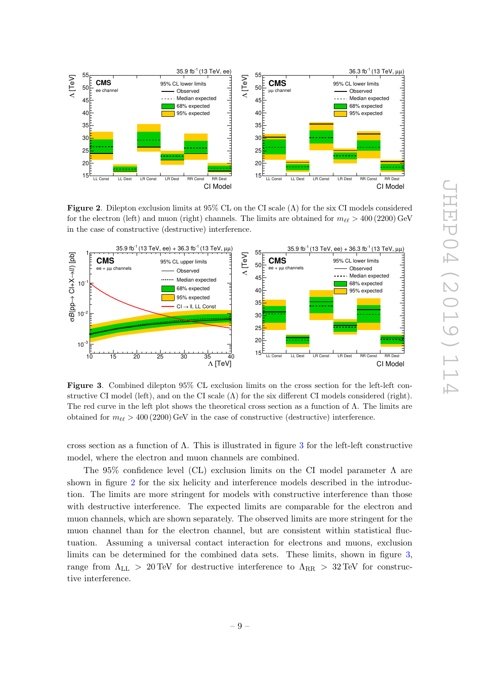![](_page_9_Figure_1.jpeg)

<span id="page-9-1"></span>**Figure 2.** Dilepton exclusion limits at  $95\%$  CL on the CI scale ( $\Lambda$ ) for the six CI models considered for the electron (left) and muon (right) channels. The limits are obtained for  $m_{\ell\ell} > 400$  (2200) GeV in the case of constructive (destructive) interference.

![](_page_9_Figure_3.jpeg)

<span id="page-9-0"></span>Figure 3. Combined dilepton 95% CL exclusion limits on the cross section for the left-left constructive CI model (left), and on the CI scale  $(\Lambda)$  for the six different CI models considered (right). The red curve in the left plot shows the theoretical cross section as a function of  $\Lambda$ . The limits are obtained for  $m_{\ell\ell} > 400 (2200)$  GeV in the case of constructive (destructive) interference.

cross section as a function of Λ. This is illustrated in figure [3](#page-9-0) for the left-left constructive model, where the electron and muon channels are combined.

The 95% confidence level (CL) exclusion limits on the CI model parameter  $\Lambda$  are shown in figure [2](#page-9-1) for the six helicity and interference models described in the introduction. The limits are more stringent for models with constructive interference than those with destructive interference. The expected limits are comparable for the electron and muon channels, which are shown separately. The observed limits are more stringent for the muon channel than for the electron channel, but are consistent within statistical fluctuation. Assuming a universal contact interaction for electrons and muons, exclusion limits can be determined for the combined data sets. These limits, shown in figure [3,](#page-9-0) range from  $\Lambda_{LL} > 20$  TeV for destructive interference to  $\Lambda_{RR} > 32$  TeV for constructive interference.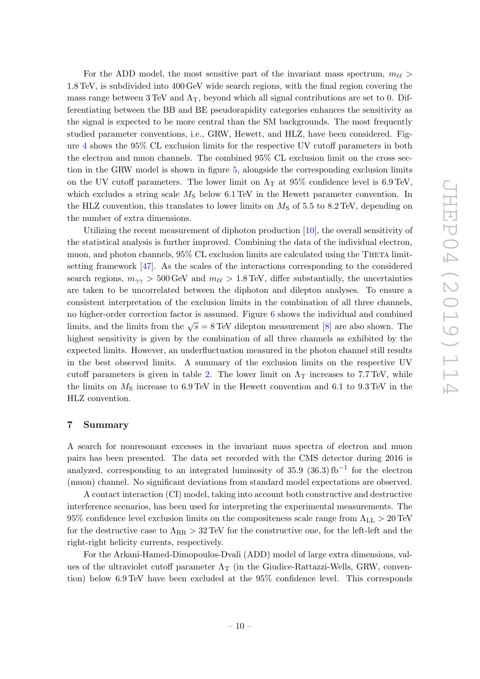For the ADD model, the most sensitive part of the invariant mass spectrum,  $m_{\ell\ell} >$ 1.8 TeV, is subdivided into 400 GeV wide search regions, with the final region covering the mass range between 3 TeV and  $\Lambda_{\rm T}$ , beyond which all signal contributions are set to 0. Differentiating between the BB and BE pseudorapidity categories enhances the sensitivity as the signal is expected to be more central than the SM backgrounds. The most frequently studied parameter conventions, i.e., GRW, Hewett, and HLZ, have been considered. Figure [4](#page-11-0) shows the 95% CL exclusion limits for the respective UV cutoff parameters in both the electron and muon channels. The combined 95% CL exclusion limit on the cross section in the GRW model is shown in figure [5,](#page-11-1) alongside the corresponding exclusion limits on the UV cutoff parameters. The lower limit on  $\Lambda$ <sub>T</sub> at 95% confidence level is 6.9 TeV, which excludes a string scale  $M<sub>S</sub>$  below 6.1 TeV in the Hewett parameter convention. In the HLZ convention, this translates to lower limits on  $M<sub>S</sub>$  of 5.5 to 8.2 TeV, depending on the number of extra dimensions.

Utilizing the recent measurement of diphoton production  $[10]$ , the overall sensitivity of the statistical analysis is further improved. Combining the data of the individual electron, muon, and photon channels, 95% CL exclusion limits are calculated using the THETA limitsetting framework  $\left[47\right]$ . As the scales of the interactions corresponding to the considered search regions,  $m_{\gamma\gamma} > 500$  GeV and  $m_{\ell\ell} > 1.8$  TeV, differ substantially, the uncertainties are taken to be uncorrelated between the diphoton and dilepton analyses. To ensure a consistent interpretation of the exclusion limits in the combination of all three channels, no higher-order correction factor is assumed. Figure [6](#page-12-0) shows the individual and combined limits, and the limits from the  $\sqrt{s} = 8$  TeV dilepton measurement [\[8\]](#page-14-7) are also shown. The highest sensitivity is given by the combination of all three channels as exhibited by the expected limits. However, an underfluctuation measured in the photon channel still results in the best observed limits. A summary of the exclusion limits on the respective UV cutoff parameters is given in table [2.](#page-12-1) The lower limit on  $\Lambda$ <sup>T</sup> increases to 7.7 TeV, while the limits on  $M<sub>S</sub>$  increase to 6.9 TeV in the Hewett convention and 6.1 to 9.3 TeV in the HLZ convention.

### <span id="page-10-0"></span>7 Summary

A search for nonresonant excesses in the invariant mass spectra of electron and muon pairs has been presented. The data set recorded with the CMS detector during 2016 is analyzed, corresponding to an integrated luminosity of 35.9 (36.3) fb<sup>-1</sup> for the electron (muon) channel. No significant deviations from standard model expectations are observed.

A contact interaction (CI) model, taking into account both constructive and destructive interference scenarios, has been used for interpreting the experimental measurements. The 95% confidence level exclusion limits on the compositeness scale range from  $\Lambda_{LL} > 20 \text{ TeV}$ for the destructive case to  $\Lambda_{RR} > 32$  TeV for the constructive one, for the left-left and the right-right helicity currents, respectively.

For the Arkani-Hamed-Dimopoulos-Dvali (ADD) model of large extra dimensions, values of the ultraviolet cutoff parameter  $\Lambda_{\rm T}$  (in the Giudice-Rattazzi-Wells, GRW, convention) below 6.9 TeV have been excluded at the 95% confidence level. This corresponds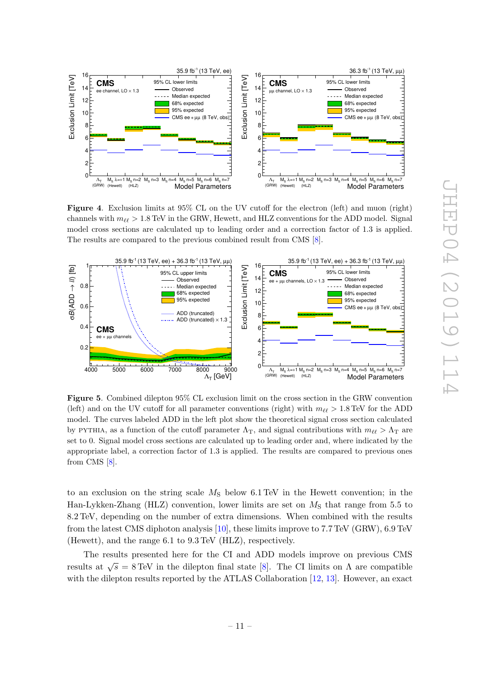![](_page_11_Figure_1.jpeg)

<span id="page-11-0"></span>Figure 4. Exclusion limits at 95% CL on the UV cutoff for the electron (left) and muon (right) channels with  $m_{\ell\ell} > 1.8$  TeV in the GRW, Hewett, and HLZ conventions for the ADD model. Signal model cross sections are calculated up to leading order and a correction factor of 1.3 is applied. The results are compared to the previous combined result from CMS [\[8\]](#page-14-7).

![](_page_11_Figure_3.jpeg)

<span id="page-11-1"></span>Figure 5. Combined dilepton 95% CL exclusion limit on the cross section in the GRW convention (left) and on the UV cutoff for all parameter conventions (right) with  $m_{\ell\ell} > 1.8$  TeV for the ADD model. The curves labeled ADD in the left plot show the theoretical signal cross section calculated by PYTHIA, as a function of the cutoff parameter  $\Lambda_T$ , and signal contributions with  $m_{\ell\ell} > \Lambda_T$  are set to 0. Signal model cross sections are calculated up to leading order and, where indicated by the appropriate label, a correction factor of 1.3 is applied. The results are compared to previous ones from CMS [\[8\]](#page-14-7).

to an exclusion on the string scale  $M<sub>S</sub>$  below 6.1 TeV in the Hewett convention; in the Han-Lykken-Zhang (HLZ) convention, lower limits are set on  $M<sub>S</sub>$  that range from 5.5 to 8.2 TeV, depending on the number of extra dimensions. When combined with the results from the latest CMS diphoton analysis [\[10\]](#page-14-9), these limits improve to 7.7 TeV (GRW), 6.9 TeV (Hewett), and the range 6.1 to 9.3 TeV (HLZ), respectively.

The results presented here for the CI and ADD models improve on previous CMS results at  $\sqrt{s} = 8$  TeV in the dilepton final state [\[8\]](#page-14-7). The CI limits on  $\Lambda$  are compatible with the dilepton results reported by the ATLAS Collaboration [\[12,](#page-14-11) [13\]](#page-14-12). However, an exact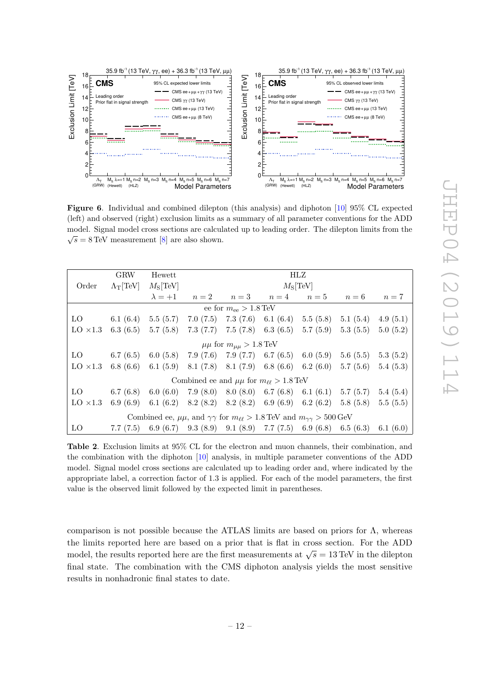![](_page_12_Figure_1.jpeg)

<span id="page-12-0"></span>Figure 6. Individual and combined dilepton (this analysis) and diphoton [\[10\]](#page-14-9) 95% CL expected (left) and observed (right) exclusion limits as a summary of all parameter conventions for the ADD model. Signal model cross sections are calculated up to leading order. The dilepton limits from the  $\sqrt{s}$  = 8 TeV measurement [\[8\]](#page-14-7) are also shown.

|                                                                                                          | <b>GRW</b>                                                                                      | Hewett                                                                          | HLZ                                                                   |  |  |  |  |          |  |  |  |
|----------------------------------------------------------------------------------------------------------|-------------------------------------------------------------------------------------------------|---------------------------------------------------------------------------------|-----------------------------------------------------------------------|--|--|--|--|----------|--|--|--|
| Order                                                                                                    | $\Lambda_{\rm T}[{\rm TeV}]$                                                                    | $M_{\rm S}$ [TeV]                                                               | $M_{\rm S}$ [TeV]                                                     |  |  |  |  |          |  |  |  |
|                                                                                                          |                                                                                                 |                                                                                 | $\lambda = +1$ $n = 2$ $n = 3$ $n = 4$ $n = 5$ $n = 6$ $n = 7$        |  |  |  |  |          |  |  |  |
| ee for $m_{ee} > 1.8 \text{ TeV}$                                                                        |                                                                                                 |                                                                                 |                                                                       |  |  |  |  |          |  |  |  |
| LO –                                                                                                     | 6.1 $(6.4)$                                                                                     |                                                                                 | 5.5 (5.7) 7.0 (7.5) 7.3 (7.6) 6.1 (6.4) 5.5 (5.8) 5.1 (5.4) 4.9 (5.1) |  |  |  |  |          |  |  |  |
|                                                                                                          | LO $\times$ 1.3 6.3 (6.5)                                                                       |                                                                                 | 5.7 (5.8) 7.3 (7.7) 7.5 (7.8) 6.3 (6.5) 5.7 (5.9) 5.3 (5.5) 5.0 (5.2) |  |  |  |  |          |  |  |  |
| $\mu\mu$ for $m_{\mu\mu} > 1.8$ TeV                                                                      |                                                                                                 |                                                                                 |                                                                       |  |  |  |  |          |  |  |  |
| LO –                                                                                                     |                                                                                                 | 6.7 (6.5) 6.0 (5.8) 7.9 (7.6) 7.9 (7.7) 6.7 (6.5) 6.0 (5.9) 5.6 (5.5) 5.3 (5.2) |                                                                       |  |  |  |  |          |  |  |  |
|                                                                                                          | LO $\times$ 1.3 6.8 (6.6) 6.1 (5.9) 8.1 (7.8) 8.1 (7.9) 6.8 (6.6) 6.2 (6.0) 5.7 (5.6)           |                                                                                 |                                                                       |  |  |  |  | 5.4(5.3) |  |  |  |
| Combined ee and $\mu\mu$ for $m_{\ell\ell} > 1.8 \text{ TeV}$                                            |                                                                                                 |                                                                                 |                                                                       |  |  |  |  |          |  |  |  |
| LO                                                                                                       | 6.7 $(6.8)$                                                                                     |                                                                                 | 6.0 (6.0) 7.9 (8.0) 8.0 (8.0) 6.7 (6.8) 6.1 (6.1) 5.7 (5.7) 5.4 (5.4) |  |  |  |  |          |  |  |  |
|                                                                                                          | LO $\times$ 1.3 6.9 (6.9) 6.1 (6.2) 8.2 (8.2) 8.2 (8.2) 6.9 (6.9) 6.2 (6.2) 5.8 (5.8) 5.5 (5.5) |                                                                                 |                                                                       |  |  |  |  |          |  |  |  |
| Combined ee, $\mu\mu$ , and $\gamma\gamma$ for $m_{\ell\ell} > 1.8$ TeV and $m_{\gamma\gamma} > 500$ GeV |                                                                                                 |                                                                                 |                                                                       |  |  |  |  |          |  |  |  |
| LO <sub>.</sub>                                                                                          |                                                                                                 | 7.7 (7.5) 6.9 (6.7) 9.3 (8.9) 9.1 (8.9) 7.7 (7.5) 6.9 (6.8) 6.5 (6.3) 6.1 (6.0) |                                                                       |  |  |  |  |          |  |  |  |

<span id="page-12-1"></span>Table 2. Exclusion limits at 95% CL for the electron and muon channels, their combination, and the combination with the diphoton [\[10\]](#page-14-9) analysis, in multiple parameter conventions of the ADD model. Signal model cross sections are calculated up to leading order and, where indicated by the appropriate label, a correction factor of 1.3 is applied. For each of the model parameters, the first value is the observed limit followed by the expected limit in parentheses.

comparison is not possible because the ATLAS limits are based on priors for  $\Lambda$ , whereas the limits reported here are based on a prior that is flat in cross section. For the ADD model, the results reported here are the first measurements at  $\sqrt{s} = 13$  TeV in the dilepton final state. The combination with the CMS diphoton analysis yields the most sensitive results in nonhadronic final states to date.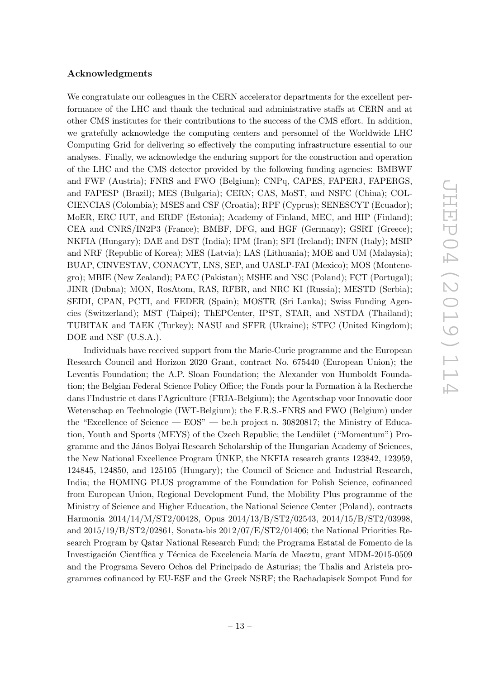#### Acknowledgments

We congratulate our colleagues in the CERN accelerator departments for the excellent performance of the LHC and thank the technical and administrative staffs at CERN and at other CMS institutes for their contributions to the success of the CMS effort. In addition, we gratefully acknowledge the computing centers and personnel of the Worldwide LHC Computing Grid for delivering so effectively the computing infrastructure essential to our analyses. Finally, we acknowledge the enduring support for the construction and operation of the LHC and the CMS detector provided by the following funding agencies: BMBWF and FWF (Austria); FNRS and FWO (Belgium); CNPq, CAPES, FAPERJ, FAPERGS, and FAPESP (Brazil); MES (Bulgaria); CERN; CAS, MoST, and NSFC (China); COL-CIENCIAS (Colombia); MSES and CSF (Croatia); RPF (Cyprus); SENESCYT (Ecuador); MoER, ERC IUT, and ERDF (Estonia); Academy of Finland, MEC, and HIP (Finland); CEA and CNRS/IN2P3 (France); BMBF, DFG, and HGF (Germany); GSRT (Greece); NKFIA (Hungary); DAE and DST (India); IPM (Iran); SFI (Ireland); INFN (Italy); MSIP and NRF (Republic of Korea); MES (Latvia); LAS (Lithuania); MOE and UM (Malaysia); BUAP, CINVESTAV, CONACYT, LNS, SEP, and UASLP-FAI (Mexico); MOS (Montenegro); MBIE (New Zealand); PAEC (Pakistan); MSHE and NSC (Poland); FCT (Portugal); JINR (Dubna); MON, RosAtom, RAS, RFBR, and NRC KI (Russia); MESTD (Serbia); SEIDI, CPAN, PCTI, and FEDER (Spain); MOSTR (Sri Lanka); Swiss Funding Agencies (Switzerland); MST (Taipei); ThEPCenter, IPST, STAR, and NSTDA (Thailand); TUBITAK and TAEK (Turkey); NASU and SFFR (Ukraine); STFC (United Kingdom); DOE and NSF (U.S.A.).

Individuals have received support from the Marie-Curie programme and the European Research Council and Horizon 2020 Grant, contract No. 675440 (European Union); the Leventis Foundation; the A.P. Sloan Foundation; the Alexander von Humboldt Foundation; the Belgian Federal Science Policy Office; the Fonds pour la Formation à la Recherche dans l'Industrie et dans l'Agriculture (FRIA-Belgium); the Agentschap voor Innovatie door Wetenschap en Technologie (IWT-Belgium); the F.R.S.-FNRS and FWO (Belgium) under the "Excellence of Science — EOS" — be.h project n. 30820817; the Ministry of Education, Youth and Sports (MEYS) of the Czech Republic; the Lend¨ulet ("Momentum") Programme and the János Bolyai Research Scholarship of the Hungarian Academy of Sciences, the New National Excellence Program ÚNKP, the NKFIA research grants 123842, 123959, 124845, 124850, and 125105 (Hungary); the Council of Science and Industrial Research, India; the HOMING PLUS programme of the Foundation for Polish Science, cofinanced from European Union, Regional Development Fund, the Mobility Plus programme of the Ministry of Science and Higher Education, the National Science Center (Poland), contracts Harmonia 2014/14/M/ST2/00428, Opus 2014/13/B/ST2/02543, 2014/15/B/ST2/03998, and 2015/19/B/ST2/02861, Sonata-bis 2012/07/E/ST2/01406; the National Priorities Research Program by Qatar National Research Fund; the Programa Estatal de Fomento de la Investigación Científica y Técnica de Excelencia María de Maeztu, grant MDM-2015-0509 and the Programa Severo Ochoa del Principado de Asturias; the Thalis and Aristeia programmes cofinanced by EU-ESF and the Greek NSRF; the Rachadapisek Sompot Fund for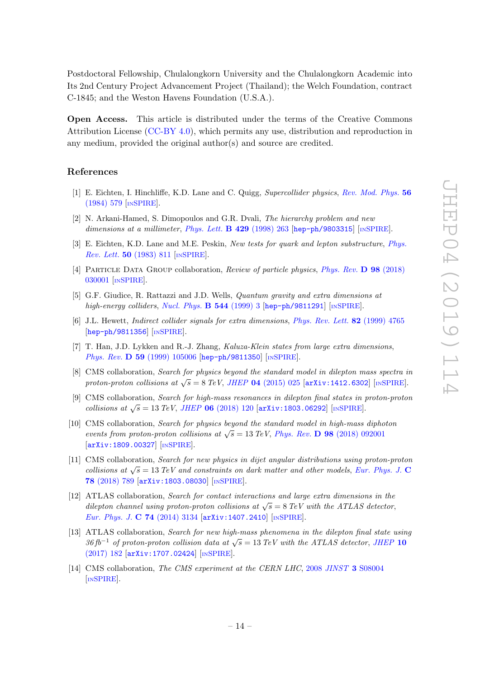Postdoctoral Fellowship, Chulalongkorn University and the Chulalongkorn Academic into Its 2nd Century Project Advancement Project (Thailand); the Welch Foundation, contract C-1845; and the Weston Havens Foundation (U.S.A.).

Open Access. This article is distributed under the terms of the Creative Commons Attribution License [\(CC-BY 4.0\)](https://creativecommons.org/licenses/by/4.0/), which permits any use, distribution and reproduction in any medium, provided the original author(s) and source are credited.

## References

- <span id="page-14-0"></span>[1] E. Eichten, I. Hinchliffe, K.D. Lane and C. Quigg, Supercollider physics, [Rev. Mod. Phys.](https://doi.org/10.1103/RevModPhys.56.579) 56 [\(1984\) 579](https://doi.org/10.1103/RevModPhys.56.579) [IN[SPIRE](https://inspirehep.net/search?p=find+J+%22Rev.Mod.Phys.,56,579%22)].
- <span id="page-14-1"></span>[2] N. Arkani-Hamed, S. Dimopoulos and G.R. Dvali, The hierarchy problem and new dimensions at a millimeter, [Phys. Lett.](https://doi.org/10.1016/S0370-2693(98)00466-3)  $\bf{B}$  429 (1998) 263 [[hep-ph/9803315](https://arxiv.org/abs/hep-ph/9803315)] [IN[SPIRE](https://inspirehep.net/search?p=find+EPRINT+hep-ph/9803315)].
- <span id="page-14-2"></span>[3] E. Eichten, K.D. Lane and M.E. Peskin, New tests for quark and lepton substructure, [Phys.](https://doi.org/10.1103/PhysRevLett.50.811) Rev. Lett. 50 [\(1983\) 811](https://doi.org/10.1103/PhysRevLett.50.811) [IN[SPIRE](https://inspirehep.net/search?p=find+J+%22Phys.Rev.Lett.,50,811%22)].
- <span id="page-14-3"></span>[4] PARTICLE DATA GROUP collaboration, *Review of particle physics, [Phys. Rev.](https://doi.org/10.1103/PhysRevD.98.030001)* **D** 98 (2018) [030001](https://doi.org/10.1103/PhysRevD.98.030001) [IN[SPIRE](https://inspirehep.net/search?p=find+J+%22Phys.Rev.,D98,030001%22)].
- <span id="page-14-4"></span>[5] G.F. Giudice, R. Rattazzi and J.D. Wells, Quantum gravity and extra dimensions at high-energy colliders, [Nucl. Phys.](https://doi.org/10.1016/S0550-3213(99)00044-9)  $B$  544 (1999) 3 [[hep-ph/9811291](https://arxiv.org/abs/hep-ph/9811291)] [IN[SPIRE](https://inspirehep.net/search?p=find+EPRINT+hep-ph/9811291)].
- <span id="page-14-5"></span>[6] J.L. Hewett, Indirect collider signals for extra dimensions, [Phys. Rev. Lett.](https://doi.org/10.1103/PhysRevLett.82.4765) 82 (1999) 4765 [[hep-ph/9811356](https://arxiv.org/abs/hep-ph/9811356)] [IN[SPIRE](https://inspirehep.net/search?p=find+EPRINT+hep-ph/9811356)].
- <span id="page-14-6"></span>[7] T. Han, J.D. Lykken and R.-J. Zhang, Kaluza-Klein states from large extra dimensions, Phys. Rev. D 59 [\(1999\) 105006](https://doi.org/10.1103/PhysRevD.59.105006) [[hep-ph/9811350](https://arxiv.org/abs/hep-ph/9811350)] [IN[SPIRE](https://inspirehep.net/search?p=find+EPRINT+hep-ph/9811350)].
- <span id="page-14-7"></span>[8] CMS collaboration, Search for physics beyond the standard model in dilepton mass spectra in proton-proton collisions at  $\sqrt{s} = 8 \text{ TeV}$ , JHEP 04 [\(2015\) 025](https://doi.org/10.1007/JHEP04(2015)025) [[arXiv:1412.6302](https://arxiv.org/abs/1412.6302)] [IN[SPIRE](https://inspirehep.net/search?p=find+EPRINT+arXiv:1412.6302)].
- <span id="page-14-8"></span>[9] CMS collaboration, Search for high-mass resonances in dilepton final states in proton-proton collisions at  $\sqrt{s} = 13 \text{ TeV}$ , JHEP 06 [\(2018\) 120](https://doi.org/10.1007/JHEP06(2018)120) [[arXiv:1803.06292](https://arxiv.org/abs/1803.06292)] [IN[SPIRE](https://inspirehep.net/search?p=find+EPRINT+arXiv:1803.06292)].
- <span id="page-14-9"></span>[10] CMS collaboration, Search for physics beyond the standard model in high-mass diphoton events from proton-proton collisions at  $\sqrt{s} = 13 \text{ TeV}$ , Phys. Rev. **D** 98 [\(2018\) 092001](https://doi.org/10.1103/PhysRevD.98.092001) [[arXiv:1809.00327](https://arxiv.org/abs/1809.00327)] [IN[SPIRE](https://inspirehep.net/search?p=find+EPRINT+arXiv:1809.00327)].
- <span id="page-14-10"></span>[11] CMS collaboration, Search for new physics in dijet angular distributions using proton-proton collisions at  $\sqrt{s} = 13 \text{ TeV}$  and constraints on dark matter and other models, [Eur. Phys. J.](https://doi.org/10.1140/epjc/s10052-018-6242-x) C 78 [\(2018\) 789](https://doi.org/10.1140/epjc/s10052-018-6242-x) [[arXiv:1803.08030](https://arxiv.org/abs/1803.08030)] [IN[SPIRE](https://inspirehep.net/search?p=find+EPRINT+arXiv:1803.08030)].
- <span id="page-14-11"></span>[12] ATLAS collaboration, Search for contact interactions and large extra dimensions in the  $d\Omega$  dilepton channel using proton-proton collisions at  $\sqrt{s} = 8$  TeV with the ATLAS detector, [Eur. Phys. J.](https://doi.org/10.1140/epjc/s10052-014-3134-6) C 74 (2014) 3134 [[arXiv:1407.2410](https://arxiv.org/abs/1407.2410)] [IN[SPIRE](https://inspirehep.net/search?p=find+EPRINT+arXiv:1407.2410)].
- <span id="page-14-12"></span>[13] ATLAS collaboration, Search for new high-mass phenomena in the dilepton final state using 36 fb<sup>−1</sup> of proton-proton collision data at  $\sqrt{s} = 13$  TeV with the ATLAS detector, [JHEP](https://doi.org/10.1007/JHEP10(2017)182) 10 [\(2017\) 182](https://doi.org/10.1007/JHEP10(2017)182) [[arXiv:1707.02424](https://arxiv.org/abs/1707.02424)] [IN[SPIRE](https://inspirehep.net/search?p=find+EPRINT+arXiv:1707.02424)].
- <span id="page-14-13"></span>[14] CMS collaboration, The CMS experiment at the CERN LHC, 2008 JINST 3 [S08004](https://doi.org/10.1088/1748-0221/3/08/S08004) [IN[SPIRE](https://inspirehep.net/search?p=find+J+%22JINST,3,S08004%22)].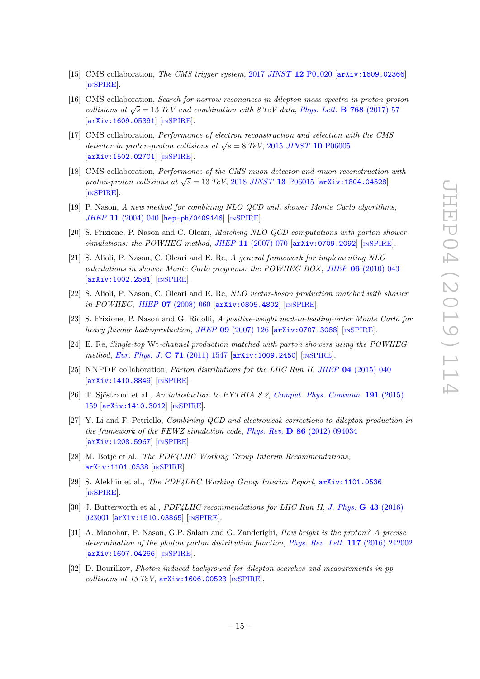- <span id="page-15-0"></span>[15] CMS collaboration, *The CMS trigger system*, 2017 *JINST* 12 [P01020](https://doi.org/10.1088/1748-0221/12/01/P01020) [[arXiv:1609.02366](https://arxiv.org/abs/1609.02366)] [IN[SPIRE](https://inspirehep.net/search?p=find+EPRINT+arXiv:1609.02366)].
- <span id="page-15-1"></span>[16] CMS collaboration, Search for narrow resonances in dilepton mass spectra in proton-proton collisions at  $\sqrt{s} = 13 \text{ TeV}$  and combination with 8 TeV data, [Phys. Lett.](https://doi.org/10.1016/j.physletb.2017.02.010) **B** 768 (2017) 57 [[arXiv:1609.05391](https://arxiv.org/abs/1609.05391)] [IN[SPIRE](https://inspirehep.net/search?p=find+EPRINT+arXiv:1609.05391)].
- <span id="page-15-2"></span>[17] CMS collaboration, Performance of electron reconstruction and selection with the CMS  $\alpha$  detector in proton-proton collisions at  $\sqrt{s} = 8 \text{ TeV}$ , 2015 JINST 10 [P06005](https://doi.org/10.1088/1748-0221/10/06/P06005) [[arXiv:1502.02701](https://arxiv.org/abs/1502.02701)] [IN[SPIRE](https://inspirehep.net/search?p=find+EPRINT+arXiv:1502.02701)].
- <span id="page-15-3"></span>[18] CMS collaboration, Performance of the CMS muon detector and muon reconstruction with proton-proton collisions at  $\sqrt{s} = 13 \text{ TeV}$ , 2018 JINST 13 [P06015](https://doi.org/10.1088/1748-0221/13/06/P06015) [[arXiv:1804.04528](https://arxiv.org/abs/1804.04528)] [IN[SPIRE](https://inspirehep.net/search?p=find+EPRINT+arXiv:1804.04528)].
- <span id="page-15-4"></span>[19] P. Nason, A new method for combining NLO QCD with shower Monte Carlo algorithms, JHEP 11 [\(2004\) 040](https://doi.org/10.1088/1126-6708/2004/11/040) [[hep-ph/0409146](https://arxiv.org/abs/hep-ph/0409146)] [IN[SPIRE](https://inspirehep.net/search?p=find+EPRINT+hep-ph/0409146)].
- [20] S. Frixione, P. Nason and C. Oleari, Matching NLO QCD computations with parton shower simulations: the POWHEG method, JHEP 11 [\(2007\) 070](https://doi.org/10.1088/1126-6708/2007/11/070) [[arXiv:0709.2092](https://arxiv.org/abs/0709.2092)] [IN[SPIRE](https://inspirehep.net/search?p=find+EPRINT+arXiv:0709.2092)].
- [21] S. Alioli, P. Nason, C. Oleari and E. Re, A general framework for implementing NLO calculations in shower Monte Carlo programs: the POWHEG BOX, JHEP 06 [\(2010\) 043](https://doi.org/10.1007/JHEP06(2010)043) [[arXiv:1002.2581](https://arxiv.org/abs/1002.2581)] [IN[SPIRE](https://inspirehep.net/search?p=find+EPRINT+arXiv:1002.2581)].
- [22] S. Alioli, P. Nason, C. Oleari and E. Re, NLO vector-boson production matched with shower in POWHEG, JHEP 07 [\(2008\) 060](https://doi.org/10.1088/1126-6708/2008/07/060) [[arXiv:0805.4802](https://arxiv.org/abs/0805.4802)] [IN[SPIRE](https://inspirehep.net/search?p=find+EPRINT+arXiv:0805.4802)].
- [23] S. Frixione, P. Nason and G. Ridolfi, A positive-weight next-to-leading-order Monte Carlo for heavy flavour hadroproduction, JHEP  $09$  [\(2007\) 126](https://doi.org/10.1088/1126-6708/2007/09/126) [[arXiv:0707.3088](https://arxiv.org/abs/0707.3088)] [IN[SPIRE](https://inspirehep.net/search?p=find+EPRINT+arXiv:0707.3088)].
- <span id="page-15-5"></span>[24] E. Re, Single-top Wt-channel production matched with parton showers using the POWHEG method, [Eur. Phys. J.](https://doi.org/10.1140/epjc/s10052-011-1547-z) C 71 (2011) 1547 [[arXiv:1009.2450](https://arxiv.org/abs/1009.2450)] [IN[SPIRE](https://inspirehep.net/search?p=find+EPRINT+arXiv:1009.2450)].
- <span id="page-15-6"></span>[25] NNPDF collaboration, Parton distributions for the LHC Run II, JHEP 04 [\(2015\) 040](https://doi.org/10.1007/JHEP04(2015)040) [[arXiv:1410.8849](https://arxiv.org/abs/1410.8849)] [IN[SPIRE](https://inspirehep.net/search?p=find+EPRINT+arXiv:1410.8849)].
- <span id="page-15-7"></span>[26] T. Sjöstrand et al., An introduction to PYTHIA 8.2, [Comput. Phys. Commun.](https://doi.org/10.1016/j.cpc.2015.01.024)  $191$  (2015) [159](https://doi.org/10.1016/j.cpc.2015.01.024) [[arXiv:1410.3012](https://arxiv.org/abs/1410.3012)] [IN[SPIRE](https://inspirehep.net/search?p=find+EPRINT+arXiv:1410.3012)].
- <span id="page-15-8"></span>[27] Y. Li and F. Petriello, Combining QCD and electroweak corrections to dilepton production in the framework of the FEWZ simulation code, Phys. Rev.  $\bf{D}$  86 [\(2012\) 094034](https://doi.org/10.1103/PhysRevD.86.094034) [[arXiv:1208.5967](https://arxiv.org/abs/1208.5967)] [IN[SPIRE](https://inspirehep.net/search?p=find+EPRINT+arXiv:1208.5967)].
- <span id="page-15-9"></span>[28] M. Botje et al., The PDF4LHC Working Group Interim Recommendations, [arXiv:1101.0538](https://arxiv.org/abs/1101.0538) [IN[SPIRE](https://inspirehep.net/search?p=find+EPRINT+arXiv:1101.0538)].
- [29] S. Alekhin et al., The PDF4LHC Working Group Interim Report,  $arXiv:1101.0536$ [IN[SPIRE](https://inspirehep.net/search?p=find+EPRINT+arXiv:1101.0536)].
- <span id="page-15-10"></span>[30] J. Butterworth et al., *PDF4LHC recommendations for LHC Run II, [J. Phys.](https://doi.org/10.1088/0954-3899/43/2/023001)* **G 43** (2016) [023001](https://doi.org/10.1088/0954-3899/43/2/023001) [[arXiv:1510.03865](https://arxiv.org/abs/1510.03865)] [IN[SPIRE](https://inspirehep.net/search?p=find+EPRINT+arXiv:1510.03865)].
- <span id="page-15-11"></span>[31] A. Manohar, P. Nason, G.P. Salam and G. Zanderighi, How bright is the proton? A precise determination of the photon parton distribution function, [Phys. Rev. Lett.](https://doi.org/10.1103/PhysRevLett.117.242002) 117 (2016) 242002 [[arXiv:1607.04266](https://arxiv.org/abs/1607.04266)] [IN[SPIRE](https://inspirehep.net/search?p=find+EPRINT+arXiv:1607.04266)].
- <span id="page-15-12"></span>[32] D. Bourilkov, Photon-induced background for dilepton searches and measurements in pp collisions at  $13 \text{ TeV}$ ,  $\text{arXiv:1606.00523}$  $\text{arXiv:1606.00523}$  $\text{arXiv:1606.00523}$  [IN[SPIRE](https://inspirehep.net/search?p=find+EPRINT+arXiv:1606.00523)].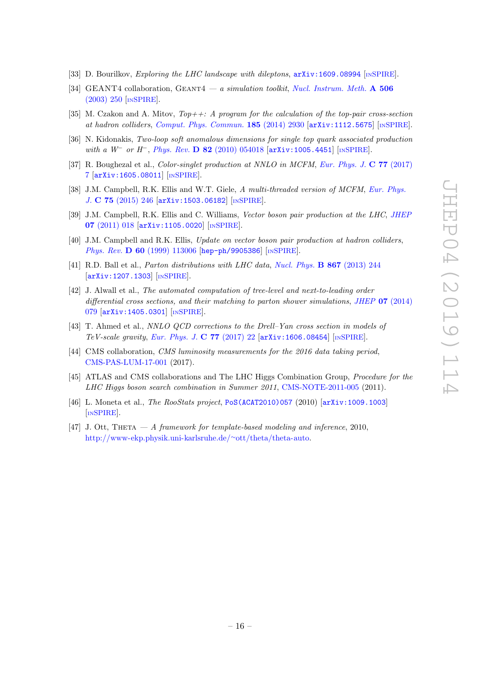- <span id="page-16-0"></span>[33] D. Bourilkov, *Exploring the LHC landscape with dileptons*,  $arXiv:1609.08994$  [IN[SPIRE](https://inspirehep.net/search?p=find+EPRINT+arXiv:1609.08994)].
- <span id="page-16-1"></span>[34] GEANT4 collaboration, GEANT4 — a simulation toolkit, [Nucl. Instrum. Meth.](https://doi.org/10.1016/S0168-9002(03)01368-8)  $\bf{A}$  506 [\(2003\) 250](https://doi.org/10.1016/S0168-9002(03)01368-8) [IN[SPIRE](https://inspirehep.net/search?p=find+J+%22Nucl.Instrum.Meth.,A506,250%22)].
- <span id="page-16-2"></span>[35] M. Czakon and A. Mitov,  $Top++: A$  program for the calculation of the top-pair cross-section at hadron colliders, [Comput. Phys. Commun.](https://doi.org/10.1016/j.cpc.2014.06.021) 185 (2014) 2930 [[arXiv:1112.5675](https://arxiv.org/abs/1112.5675)] [IN[SPIRE](https://inspirehep.net/search?p=find+EPRINT+arXiv:1112.5675)].
- <span id="page-16-3"></span>[36] N. Kidonakis, Two-loop soft anomalous dimensions for single top quark associated production with a W<sup>−</sup> or H<sup>−</sup>, Phys. Rev. **D 82** [\(2010\) 054018](https://doi.org/10.1103/PhysRevD.82.054018) [[arXiv:1005.4451](https://arxiv.org/abs/1005.4451)] [IN[SPIRE](https://inspirehep.net/search?p=find+EPRINT+arXiv:1005.4451)].
- <span id="page-16-4"></span>[37] R. Boughezal et al., *Color-singlet production at NNLO in MCFM, [Eur. Phys. J.](https://doi.org/10.1140/epjc/s10052-016-4558-y)* C 77 (2017) [7](https://doi.org/10.1140/epjc/s10052-016-4558-y) [[arXiv:1605.08011](https://arxiv.org/abs/1605.08011)] [IN[SPIRE](https://inspirehep.net/search?p=find+EPRINT+arXiv:1605.08011)].
- [38] J.M. Campbell, R.K. Ellis and W.T. Giele, A multi-threaded version of MCFM, [Eur. Phys.](https://doi.org/10.1140/epjc/s10052-015-3461-2) J. C 75 [\(2015\) 246](https://doi.org/10.1140/epjc/s10052-015-3461-2) [[arXiv:1503.06182](https://arxiv.org/abs/1503.06182)] [IN[SPIRE](https://inspirehep.net/search?p=find+EPRINT+arXiv:1503.06182)].
- [39] J.M. Campbell, R.K. Ellis and C. Williams, Vector boson pair production at the LHC, [JHEP](https://doi.org/10.1007/JHEP07(2011)018) 07 [\(2011\) 018](https://doi.org/10.1007/JHEP07(2011)018) [[arXiv:1105.0020](https://arxiv.org/abs/1105.0020)] [IN[SPIRE](https://inspirehep.net/search?p=find+EPRINT+arXiv:1105.0020)].
- <span id="page-16-5"></span>[40] J.M. Campbell and R.K. Ellis, Update on vector boson pair production at hadron colliders, Phys. Rev. **D 60** [\(1999\) 113006](https://doi.org/10.1103/PhysRevD.60.113006) [[hep-ph/9905386](https://arxiv.org/abs/hep-ph/9905386)] [IN[SPIRE](https://inspirehep.net/search?p=find+EPRINT+hep-ph/9905386)].
- <span id="page-16-6"></span>[41] R.D. Ball et al., Parton distributions with LHC data, [Nucl. Phys.](https://doi.org/10.1016/j.nuclphysb.2012.10.003) B 867 (2013) 244 [[arXiv:1207.1303](https://arxiv.org/abs/1207.1303)] [IN[SPIRE](https://inspirehep.net/search?p=find+EPRINT+arXiv:1207.1303)].
- <span id="page-16-7"></span>[42] J. Alwall et al., The automated computation of tree-level and next-to-leading order differential cross sections, and their matching to parton shower simulations, JHEP 07 [\(2014\)](https://doi.org/10.1007/JHEP07(2014)079) [079](https://doi.org/10.1007/JHEP07(2014)079) [[arXiv:1405.0301](https://arxiv.org/abs/1405.0301)] [IN[SPIRE](https://inspirehep.net/search?p=find+EPRINT+arXiv:1405.0301)].
- <span id="page-16-8"></span>[43] T. Ahmed et al., NNLO QCD corrections to the Drell–Yan cross section in models of TeV-scale gravity, [Eur. Phys. J.](https://doi.org/10.1140/epjc/s10052-016-4587-6) C 77 (2017) 22  $\left[$ [arXiv:1606.08454](https://arxiv.org/abs/1606.08454) $\right]$  [IN[SPIRE](https://inspirehep.net/search?p=find+EPRINT+arXiv:1606.08454)].
- <span id="page-16-9"></span>[44] CMS collaboration, *CMS luminosity measurements for the 2016 data taking period*, [CMS-PAS-LUM-17-001](http://cds.cern.ch/record/2257069) (2017).
- <span id="page-16-10"></span>[45] ATLAS and CMS collaborations and The LHC Higgs Combination Group, Procedure for the LHC Higgs boson search combination in Summer 2011, [CMS-NOTE-2011-005](http://cds.cern.ch/record/1379837) (2011).
- <span id="page-16-11"></span>[46] L. Moneta et al., *The RooStats project*, [PoS\(ACAT2010\)057](https://doi.org/10.22323/1.093.0057) (2010) [[arXiv:1009.1003](https://arxiv.org/abs/1009.1003)] [IN[SPIRE](https://inspirehep.net/search?p=find+EPRINT+arXiv:1009.1003)].
- <span id="page-16-12"></span>[47] J. Ott, THETA  $-A$  framework for template-based modeling and inference, 2010, [http://www-ekp.physik.uni-karlsruhe.de/](http://www-ekp.physik.uni-karlsruhe.de/~ott/theta/theta-auto)∼ott/theta/theta-auto.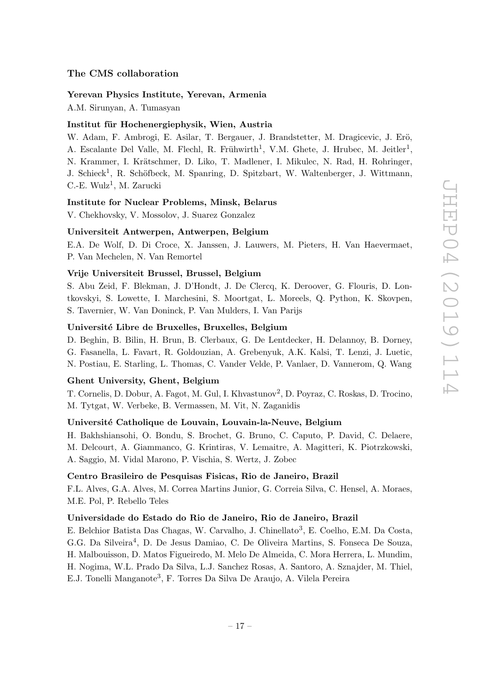### The CMS collaboration

#### <span id="page-17-0"></span>Yerevan Physics Institute, Yerevan, Armenia

A.M. Sirunyan, A. Tumasyan

#### Institut für Hochenergiephysik, Wien, Austria

W. Adam, F. Ambrogi, E. Asilar, T. Bergauer, J. Brandstetter, M. Dragicevic, J. Erö, A. Escalante Del Valle, M. Flechl, R. Frühwirth<sup>1</sup>, V.M. Ghete, J. Hrubec, M. Jeitler<sup>1</sup>, N. Krammer, I. Krätschmer, D. Liko, T. Madlener, I. Mikulec, N. Rad, H. Rohringer, J. Schieck<sup>1</sup>, R. Schöfbeck, M. Spanring, D. Spitzbart, W. Waltenberger, J. Wittmann, C.-E. Wulz<sup>1</sup>, M. Zarucki

### Institute for Nuclear Problems, Minsk, Belarus

V. Chekhovsky, V. Mossolov, J. Suarez Gonzalez

#### Universiteit Antwerpen, Antwerpen, Belgium

E.A. De Wolf, D. Di Croce, X. Janssen, J. Lauwers, M. Pieters, H. Van Haevermaet, P. Van Mechelen, N. Van Remortel

#### Vrije Universiteit Brussel, Brussel, Belgium

S. Abu Zeid, F. Blekman, J. D'Hondt, J. De Clercq, K. Deroover, G. Flouris, D. Lontkovskyi, S. Lowette, I. Marchesini, S. Moortgat, L. Moreels, Q. Python, K. Skovpen, S. Tavernier, W. Van Doninck, P. Van Mulders, I. Van Parijs

#### Universit´e Libre de Bruxelles, Bruxelles, Belgium

D. Beghin, B. Bilin, H. Brun, B. Clerbaux, G. De Lentdecker, H. Delannoy, B. Dorney, G. Fasanella, L. Favart, R. Goldouzian, A. Grebenyuk, A.K. Kalsi, T. Lenzi, J. Luetic,

N. Postiau, E. Starling, L. Thomas, C. Vander Velde, P. Vanlaer, D. Vannerom, Q. Wang

#### Ghent University, Ghent, Belgium

T. Cornelis, D. Dobur, A. Fagot, M. Gul, I. Khvastunov<sup>2</sup>, D. Poyraz, C. Roskas, D. Trocino, M. Tytgat, W. Verbeke, B. Vermassen, M. Vit, N. Zaganidis

#### Université Catholique de Louvain, Louvain-la-Neuve, Belgium

H. Bakhshiansohi, O. Bondu, S. Brochet, G. Bruno, C. Caputo, P. David, C. Delaere, M. Delcourt, A. Giammanco, G. Krintiras, V. Lemaitre, A. Magitteri, K. Piotrzkowski, A. Saggio, M. Vidal Marono, P. Vischia, S. Wertz, J. Zobec

#### Centro Brasileiro de Pesquisas Fisicas, Rio de Janeiro, Brazil

F.L. Alves, G.A. Alves, M. Correa Martins Junior, G. Correia Silva, C. Hensel, A. Moraes, M.E. Pol, P. Rebello Teles

#### Universidade do Estado do Rio de Janeiro, Rio de Janeiro, Brazil

E. Belchior Batista Das Chagas, W. Carvalho, J. Chinellato<sup>3</sup>, E. Coelho, E.M. Da Costa, G.G. Da Silveira<sup>4</sup>, D. De Jesus Damiao, C. De Oliveira Martins, S. Fonseca De Souza, H. Malbouisson, D. Matos Figueiredo, M. Melo De Almeida, C. Mora Herrera, L. Mundim, H. Nogima, W.L. Prado Da Silva, L.J. Sanchez Rosas, A. Santoro, A. Sznajder, M. Thiel, E.J. Tonelli Manganote<sup>3</sup>, F. Torres Da Silva De Araujo, A. Vilela Pereira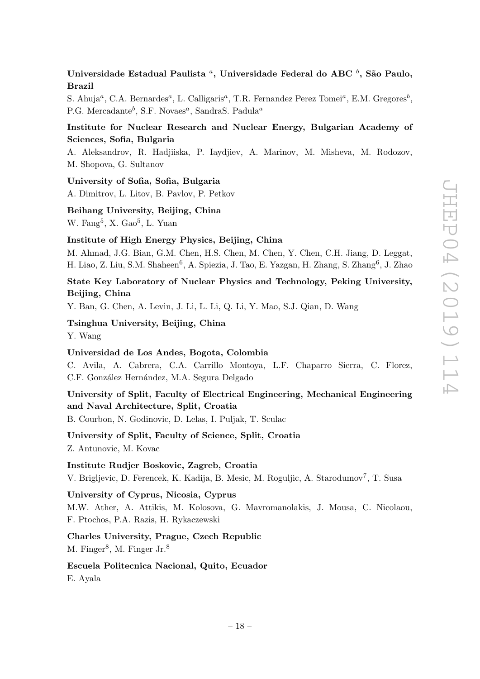# Universidade Estadual Paulista <sup>a</sup>, Universidade Federal do ABC  $^b$ , São Paulo, Brazil

S. Ahuja<sup>a</sup>, C.A. Bernardes<sup>a</sup>, L. Calligaris<sup>a</sup>, T.R. Fernandez Perez Tomei<sup>a</sup>, E.M. Gregores<sup>b</sup>, P.G. Mercadante<sup>b</sup>, S.F. Novaes<sup>a</sup>, SandraS. Padula<sup>a</sup>

# Institute for Nuclear Research and Nuclear Energy, Bulgarian Academy of Sciences, Sofia, Bulgaria

A. Aleksandrov, R. Hadjiiska, P. Iaydjiev, A. Marinov, M. Misheva, M. Rodozov, M. Shopova, G. Sultanov

### University of Sofia, Sofia, Bulgaria

A. Dimitrov, L. Litov, B. Pavlov, P. Petkov

# Beihang University, Beijing, China

W. Fang<sup>5</sup>, X. Gao<sup>5</sup>, L. Yuan

# Institute of High Energy Physics, Beijing, China

M. Ahmad, J.G. Bian, G.M. Chen, H.S. Chen, M. Chen, Y. Chen, C.H. Jiang, D. Leggat, H. Liao, Z. Liu, S.M. Shaheen<sup>6</sup>, A. Spiezia, J. Tao, E. Yazgan, H. Zhang, S. Zhang<sup>6</sup>, J. Zhao

# State Key Laboratory of Nuclear Physics and Technology, Peking University, Beijing, China

Y. Ban, G. Chen, A. Levin, J. Li, L. Li, Q. Li, Y. Mao, S.J. Qian, D. Wang

#### Tsinghua University, Beijing, China

Y. Wang

#### Universidad de Los Andes, Bogota, Colombia

C. Avila, A. Cabrera, C.A. Carrillo Montoya, L.F. Chaparro Sierra, C. Florez, C.F. González Hernández, M.A. Segura Delgado

# University of Split, Faculty of Electrical Engineering, Mechanical Engineering and Naval Architecture, Split, Croatia

B. Courbon, N. Godinovic, D. Lelas, I. Puljak, T. Sculac

#### University of Split, Faculty of Science, Split, Croatia

Z. Antunovic, M. Kovac

#### Institute Rudjer Boskovic, Zagreb, Croatia

V. Brigljevic, D. Ferencek, K. Kadija, B. Mesic, M. Roguljic, A. Starodumov<sup>7</sup>, T. Susa

#### University of Cyprus, Nicosia, Cyprus

M.W. Ather, A. Attikis, M. Kolosova, G. Mavromanolakis, J. Mousa, C. Nicolaou, F. Ptochos, P.A. Razis, H. Rykaczewski

### Charles University, Prague, Czech Republic

M. Finger<sup>8</sup>, M. Finger  $Jr.^8$ 

# Escuela Politecnica Nacional, Quito, Ecuador

E. Ayala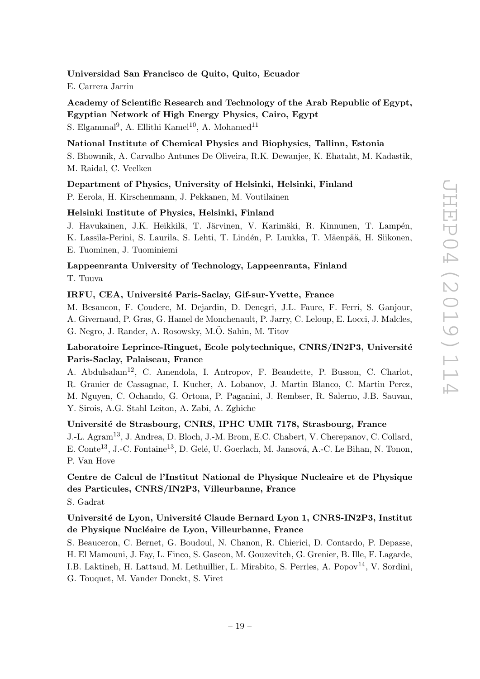#### Universidad San Francisco de Quito, Quito, Ecuador

E. Carrera Jarrin

# Academy of Scientific Research and Technology of the Arab Republic of Egypt, Egyptian Network of High Energy Physics, Cairo, Egypt

S. Elgammal<sup>9</sup>, A. Ellithi Kamel<sup>10</sup>, A. Mohamed<sup>11</sup>

# National Institute of Chemical Physics and Biophysics, Tallinn, Estonia

S. Bhowmik, A. Carvalho Antunes De Oliveira, R.K. Dewanjee, K. Ehataht, M. Kadastik, M. Raidal, C. Veelken

#### Department of Physics, University of Helsinki, Helsinki, Finland

P. Eerola, H. Kirschenmann, J. Pekkanen, M. Voutilainen

#### Helsinki Institute of Physics, Helsinki, Finland

J. Havukainen, J.K. Heikkilä, T. Järvinen, V. Karimäki, R. Kinnunen, T. Lampén,

K. Lassila-Perini, S. Laurila, S. Lehti, T. Lindén, P. Luukka, T. Mäenpää, H. Siikonen,

E. Tuominen, J. Tuominiemi

# Lappeenranta University of Technology, Lappeenranta, Finland

T. Tuuva

### IRFU, CEA, Université Paris-Saclay, Gif-sur-Yvette, France

M. Besancon, F. Couderc, M. Dejardin, D. Denegri, J.L. Faure, F. Ferri, S. Ganjour, A. Givernaud, P. Gras, G. Hamel de Monchenault, P. Jarry, C. Leloup, E. Locci, J. Malcles, G. Negro, J. Rander, A. Rosowsky, M.O. Sahin, M. Titov ¨

# Laboratoire Leprince-Ringuet, Ecole polytechnique, CNRS/IN2P3, Université Paris-Saclay, Palaiseau, France

A. Abdulsalam12, C. Amendola, I. Antropov, F. Beaudette, P. Busson, C. Charlot, R. Granier de Cassagnac, I. Kucher, A. Lobanov, J. Martin Blanco, C. Martin Perez, M. Nguyen, C. Ochando, G. Ortona, P. Paganini, J. Rembser, R. Salerno, J.B. Sauvan, Y. Sirois, A.G. Stahl Leiton, A. Zabi, A. Zghiche

### Universit´e de Strasbourg, CNRS, IPHC UMR 7178, Strasbourg, France

J.-L. Agram13, J. Andrea, D. Bloch, J.-M. Brom, E.C. Chabert, V. Cherepanov, C. Collard, E. Conte<sup>13</sup>, J.-C. Fontaine<sup>13</sup>, D. Gelé, U. Goerlach, M. Jansová, A.-C. Le Bihan, N. Tonon, P. Van Hove

# Centre de Calcul de l'Institut National de Physique Nucleaire et de Physique des Particules, CNRS/IN2P3, Villeurbanne, France

S. Gadrat

# Université de Lyon, Université Claude Bernard Lyon 1, CNRS-IN2P3, Institut de Physique Nucléaire de Lyon, Villeurbanne, France

S. Beauceron, C. Bernet, G. Boudoul, N. Chanon, R. Chierici, D. Contardo, P. Depasse, H. El Mamouni, J. Fay, L. Finco, S. Gascon, M. Gouzevitch, G. Grenier, B. Ille, F. Lagarde, I.B. Laktineh, H. Lattaud, M. Lethuillier, L. Mirabito, S. Perries, A. Popov<sup>14</sup>, V. Sordini, G. Touquet, M. Vander Donckt, S. Viret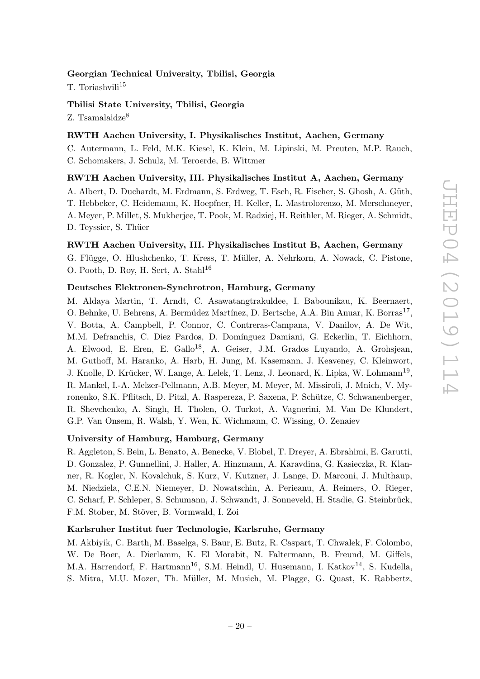### Georgian Technical University, Tbilisi, Georgia

T. Toriashvili<sup>15</sup>

Tbilisi State University, Tbilisi, Georgia

Z. Tsamalaidze<sup>8</sup>

### RWTH Aachen University, I. Physikalisches Institut, Aachen, Germany

C. Autermann, L. Feld, M.K. Kiesel, K. Klein, M. Lipinski, M. Preuten, M.P. Rauch, C. Schomakers, J. Schulz, M. Teroerde, B. Wittmer

#### RWTH Aachen University, III. Physikalisches Institut A, Aachen, Germany

A. Albert, D. Duchardt, M. Erdmann, S. Erdweg, T. Esch, R. Fischer, S. Ghosh, A. Güth, T. Hebbeker, C. Heidemann, K. Hoepfner, H. Keller, L. Mastrolorenzo, M. Merschmeyer, A. Meyer, P. Millet, S. Mukherjee, T. Pook, M. Radziej, H. Reithler, M. Rieger, A. Schmidt, D. Teyssier, S. Thüer

#### RWTH Aachen University, III. Physikalisches Institut B, Aachen, Germany

G. Flügge, O. Hlushchenko, T. Kress, T. Müller, A. Nehrkorn, A. Nowack, C. Pistone, O. Pooth, D. Roy, H. Sert, A. Stahl<sup>16</sup>

#### Deutsches Elektronen-Synchrotron, Hamburg, Germany

M. Aldaya Martin, T. Arndt, C. Asawatangtrakuldee, I. Babounikau, K. Beernaert, O. Behnke, U. Behrens, A. Bermúdez Martínez, D. Bertsche, A.A. Bin Anuar, K. Borras<sup>17</sup>, V. Botta, A. Campbell, P. Connor, C. Contreras-Campana, V. Danilov, A. De Wit, M.M. Defranchis, C. Diez Pardos, D. Dom´ınguez Damiani, G. Eckerlin, T. Eichhorn, A. Elwood, E. Eren, E. Gallo<sup>18</sup>, A. Geiser, J.M. Grados Luyando, A. Grohsjean, M. Guthoff, M. Haranko, A. Harb, H. Jung, M. Kasemann, J. Keaveney, C. Kleinwort, J. Knolle, D. Krücker, W. Lange, A. Lelek, T. Lenz, J. Leonard, K. Lipka, W. Lohmann<sup>19</sup>, R. Mankel, I.-A. Melzer-Pellmann, A.B. Meyer, M. Meyer, M. Missiroli, J. Mnich, V. Myronenko, S.K. Pflitsch, D. Pitzl, A. Raspereza, P. Saxena, P. Schütze, C. Schwanenberger, R. Shevchenko, A. Singh, H. Tholen, O. Turkot, A. Vagnerini, M. Van De Klundert, G.P. Van Onsem, R. Walsh, Y. Wen, K. Wichmann, C. Wissing, O. Zenaiev

#### University of Hamburg, Hamburg, Germany

R. Aggleton, S. Bein, L. Benato, A. Benecke, V. Blobel, T. Dreyer, A. Ebrahimi, E. Garutti, D. Gonzalez, P. Gunnellini, J. Haller, A. Hinzmann, A. Karavdina, G. Kasieczka, R. Klanner, R. Kogler, N. Kovalchuk, S. Kurz, V. Kutzner, J. Lange, D. Marconi, J. Multhaup, M. Niedziela, C.E.N. Niemeyer, D. Nowatschin, A. Perieanu, A. Reimers, O. Rieger, C. Scharf, P. Schleper, S. Schumann, J. Schwandt, J. Sonneveld, H. Stadie, G. Steinbrück, F.M. Stober, M. Stöver, B. Vormwald, I. Zoi

### Karlsruher Institut fuer Technologie, Karlsruhe, Germany

M. Akbiyik, C. Barth, M. Baselga, S. Baur, E. Butz, R. Caspart, T. Chwalek, F. Colombo, W. De Boer, A. Dierlamm, K. El Morabit, N. Faltermann, B. Freund, M. Giffels, M.A. Harrendorf, F. Hartmann<sup>16</sup>, S.M. Heindl, U. Husemann, I. Katkov<sup>14</sup>, S. Kudella, S. Mitra, M.U. Mozer, Th. Müller, M. Musich, M. Plagge, G. Quast, K. Rabbertz,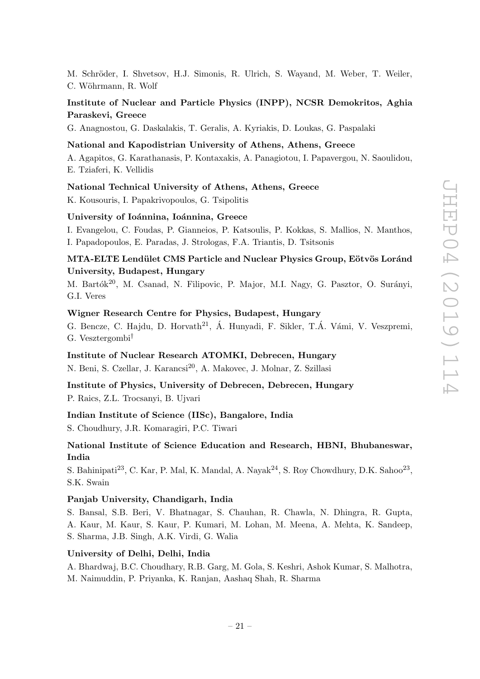M. Schröder, I. Shvetsov, H.J. Simonis, R. Ulrich, S. Wayand, M. Weber, T. Weiler, C. Wöhrmann, R. Wolf

# Institute of Nuclear and Particle Physics (INPP), NCSR Demokritos, Aghia Paraskevi, Greece

G. Anagnostou, G. Daskalakis, T. Geralis, A. Kyriakis, D. Loukas, G. Paspalaki

#### National and Kapodistrian University of Athens, Athens, Greece

A. Agapitos, G. Karathanasis, P. Kontaxakis, A. Panagiotou, I. Papavergou, N. Saoulidou, E. Tziaferi, K. Vellidis

#### National Technical University of Athens, Athens, Greece

K. Kousouris, I. Papakrivopoulos, G. Tsipolitis

#### University of Ioánnina, Ioánnina, Greece

I. Evangelou, C. Foudas, P. Gianneios, P. Katsoulis, P. Kokkas, S. Mallios, N. Manthos, I. Papadopoulos, E. Paradas, J. Strologas, F.A. Triantis, D. Tsitsonis

# MTA-ELTE Lendület CMS Particle and Nuclear Physics Group, Eötvös Loránd University, Budapest, Hungary

M. Bartók<sup>20</sup>, M. Csanad, N. Filipovic, P. Major, M.I. Nagy, G. Pasztor, O. Surányi, G.I. Veres

# Wigner Research Centre for Physics, Budapest, Hungary

G. Bencze, C. Hajdu, D. Horvath<sup>21</sup>, Á. Hunyadi, F. Sikler, T.Á. Vámi, V. Veszpremi, G. Vesztergombi†

### Institute of Nuclear Research ATOMKI, Debrecen, Hungary

N. Beni, S. Czellar, J. Karancsi<sup>20</sup>, A. Makovec, J. Molnar, Z. Szillasi

#### Institute of Physics, University of Debrecen, Debrecen, Hungary

P. Raics, Z.L. Trocsanyi, B. Ujvari

#### Indian Institute of Science (IISc), Bangalore, India

S. Choudhury, J.R. Komaragiri, P.C. Tiwari

# National Institute of Science Education and Research, HBNI, Bhubaneswar, India

S. Bahinipati<sup>23</sup>, C. Kar, P. Mal, K. Mandal, A. Nayak<sup>24</sup>, S. Roy Chowdhury, D.K. Sahoo<sup>23</sup>, S.K. Swain

### Panjab University, Chandigarh, India

S. Bansal, S.B. Beri, V. Bhatnagar, S. Chauhan, R. Chawla, N. Dhingra, R. Gupta, A. Kaur, M. Kaur, S. Kaur, P. Kumari, M. Lohan, M. Meena, A. Mehta, K. Sandeep, S. Sharma, J.B. Singh, A.K. Virdi, G. Walia

#### University of Delhi, Delhi, India

A. Bhardwaj, B.C. Choudhary, R.B. Garg, M. Gola, S. Keshri, Ashok Kumar, S. Malhotra, M. Naimuddin, P. Priyanka, K. Ranjan, Aashaq Shah, R. Sharma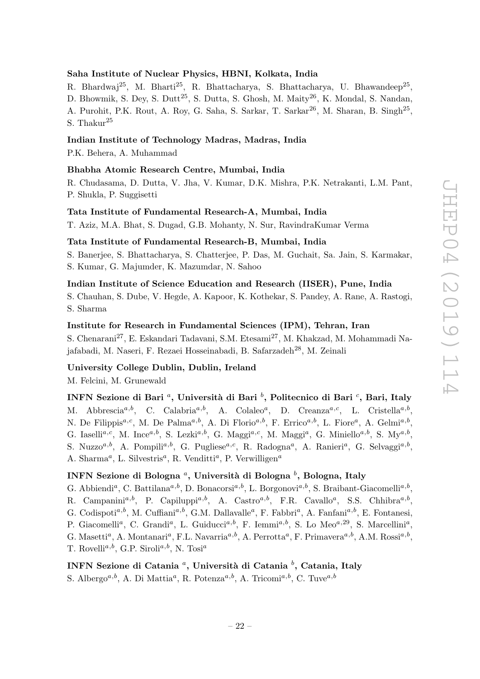### Saha Institute of Nuclear Physics, HBNI, Kolkata, India

R. Bhardwaj<sup>25</sup>, M. Bharti<sup>25</sup>, R. Bhattacharya, S. Bhattacharya, U. Bhawandeep<sup>25</sup>, D. Bhowmik, S. Dev, S. Dutt<sup>25</sup>, S. Dutta, S. Ghosh, M. Maity<sup>26</sup>, K. Mondal, S. Nandan, A. Purohit, P.K. Rout, A. Roy, G. Saha, S. Sarkar, T. Sarkar<sup>26</sup>, M. Sharan, B. Singh<sup>25</sup>, S. Thakur<sup>25</sup>

#### Indian Institute of Technology Madras, Madras, India

P.K. Behera, A. Muhammad

### Bhabha Atomic Research Centre, Mumbai, India

R. Chudasama, D. Dutta, V. Jha, V. Kumar, D.K. Mishra, P.K. Netrakanti, L.M. Pant, P. Shukla, P. Suggisetti

#### Tata Institute of Fundamental Research-A, Mumbai, India

T. Aziz, M.A. Bhat, S. Dugad, G.B. Mohanty, N. Sur, RavindraKumar Verma

#### Tata Institute of Fundamental Research-B, Mumbai, India

S. Banerjee, S. Bhattacharya, S. Chatterjee, P. Das, M. Guchait, Sa. Jain, S. Karmakar, S. Kumar, G. Majumder, K. Mazumdar, N. Sahoo

#### Indian Institute of Science Education and Research (IISER), Pune, India

S. Chauhan, S. Dube, V. Hegde, A. Kapoor, K. Kothekar, S. Pandey, A. Rane, A. Rastogi, S. Sharma

# Institute for Research in Fundamental Sciences (IPM), Tehran, Iran

S. Chenarani<sup>27</sup>, E. Eskandari Tadavani, S.M. Etesami<sup>27</sup>, M. Khakzad, M. Mohammadi Najafabadi, M. Naseri, F. Rezaei Hosseinabadi, B. Safarzadeh<sup>28</sup>, M. Zeinali

### University College Dublin, Dublin, Ireland

M. Felcini, M. Grunewald

INFN Sezione di Bari <sup>a</sup>, Università di Bari  $^b$ , Politecnico di Bari  $^c$ , Bari, Italy M. Abbrescia<sup>a,b</sup>, C. Calabria<sup>a,b</sup>, A. Colaleo<sup>a</sup>, D. Creanza<sup>a,c</sup>, L. Cristella<sup>a,b</sup>, N. De Filippis<sup>a,c</sup>, M. De Palma<sup>a,b</sup>, A. Di Florio<sup>a,b</sup>, F. Errico<sup>a,b</sup>, L. Fiore<sup>a</sup>, A. Gelmi<sup>a,b</sup>, G. Iaselli<sup>a,c</sup>, M. Ince<sup>a,b</sup>, S. Lezki<sup>a,b</sup>, G. Maggi<sup>a,c</sup>, M. Maggi<sup>a</sup>, G. Miniello<sup>a,b</sup>, S. My<sup>a,b</sup>, S. Nuzzo<sup>a,b</sup>, A. Pompili<sup>a,b</sup>, G. Pugliese<sup>a,c</sup>, R. Radogna<sup>a</sup>, A. Ranieri<sup>a</sup>, G. Selvaggi<sup>a,b</sup>, A. Sharma<sup>a</sup>, L. Silvestris<sup>a</sup>, R. Venditti<sup>a</sup>, P. Verwilligen<sup>a</sup>

# INFN Sezione di Bologna  $^a,$  Università di Bologna  $^b,$  Bologna, Italy

G. Abbiendi<sup>a</sup>, C. Battilana<sup>a,b</sup>, D. Bonacorsi<sup>a,b</sup>, L. Borgonovi<sup>a,b</sup>, S. Braibant-Giacomelli<sup>a,b</sup>, R. Campanini<sup>a,b</sup>, P. Capiluppi<sup>a,b</sup>, A. Castro<sup>a,b</sup>, F.R. Cavallo<sup>a</sup>, S.S. Chhibra<sup>a,b</sup>, G. Codispoti<sup>a,b</sup>, M. Cuffiani<sup>a,b</sup>, G.M. Dallavalle<sup>a</sup>, F. Fabbri<sup>a</sup>, A. Fanfani<sup>a,b</sup>, E. Fontanesi, P. Giacomelli<sup>a</sup>, C. Grandi<sup>a</sup>, L. Guiducci<sup>a,b</sup>, F. Iemmi<sup>a,b</sup>, S. Lo Meo<sup>a,29</sup>, S. Marcellini<sup>a</sup>, G. Masetti<sup>a</sup>, A. Montanari<sup>a</sup>, F.L. Navarria<sup>a,b</sup>, A. Perrotta<sup>a</sup>, F. Primavera<sup>a,b</sup>, A.M. Rossi<sup>a,b</sup>, T. Rovelli<sup>a,b</sup>, G.P. Siroli<sup>a,b</sup>, N. Tosi<sup>a</sup>

# INFN Sezione di Catania <sup>a</sup>, Università di Catania  $^b,$  Catania, Italy

S. Albergo<sup>a,b</sup>, A. Di Mattia<sup>a</sup>, R. Potenza<sup>a,b</sup>, A. Tricomi<sup>a,b</sup>, C. Tuve<sup>a,b</sup>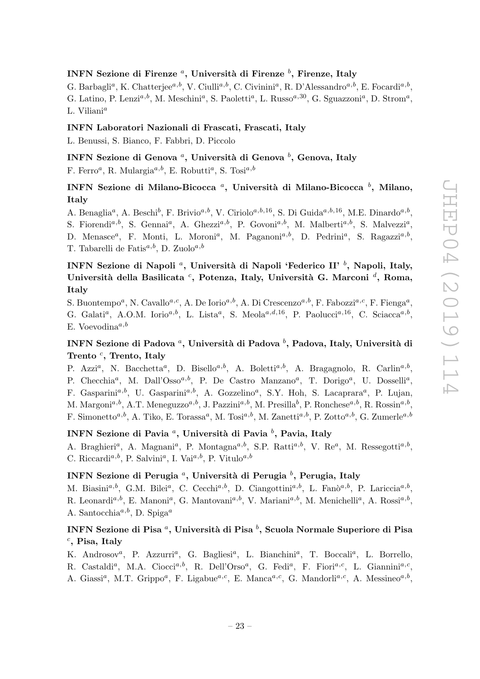# INFN Sezione di Firenze  $^a,$  Università di Firenze  $^b,$  Firenze, Italy

G. Barbagli<sup>a</sup>, K. Chatterjee<sup>a,b</sup>, V. Ciulli<sup>a,b</sup>, C. Civinini<sup>a</sup>, R. D'Alessandro<sup>a,b</sup>, E. Focardi<sup>a,b</sup>, G. Latino, P. Lenzi<sup>a,b</sup>, M. Meschini<sup>a</sup>, S. Paoletti<sup>a</sup>, L. Russo<sup>a, 30</sup>, G. Sguazzoni<sup>a</sup>, D. Strom<sup>a</sup>, L. Viliani $^a$ 

### INFN Laboratori Nazionali di Frascati, Frascati, Italy

L. Benussi, S. Bianco, F. Fabbri, D. Piccolo

# INFN Sezione di Genova <sup>a</sup>, Università di Genova  $^b,$  Genova, Italy

F. Ferro<sup>a</sup>, R. Mulargia<sup>*a*,b</sup>, E. Robutti<sup>a</sup>, S. Tosi<sup>*a*,b</sup>

# INFN Sezione di Milano-Bicocca <sup>a</sup>, Università di Milano-Bicocca <sup>b</sup>, Milano, Italy

A. Benaglia<sup>a</sup>, A. Beschi<sup>b</sup>, F. Brivio<sup>a,b</sup>, V. Ciriolo<sup>a,b,16</sup>, S. Di Guida<sup>a,b,16</sup>, M.E. Dinardo<sup>a,b</sup>, S. Fiorendi<sup>a,b</sup>, S. Gennai<sup>a</sup>, A. Ghezzi<sup>a,b</sup>, P. Govoni<sup>a,b</sup>, M. Malberti<sup>a,b</sup>, S. Malvezzi<sup>a</sup>, D. Menasce<sup>a</sup>, F. Monti, L. Moroni<sup>a</sup>, M. Paganoni<sup>a,b</sup>, D. Pedrini<sup>a</sup>, S. Ragazzi<sup>a,b</sup>, T. Tabarelli de Fatis $a,b$ , D. Zuolo $a,b$ 

# INFN Sezione di Napoli <sup>a</sup>, Università di Napoli 'Federico II'  $^b$ , Napoli, Italy, Università della Basilicata  $^c$ , Potenza, Italy, Università G. Marconi  $^d$ , Roma, Italy

S. Buontempo<sup>a</sup>, N. Cavallo<sup>a,c</sup>, A. De Iorio<sup>a,b</sup>, A. Di Crescenzo<sup>a,b</sup>, F. Fabozzi<sup>a,c</sup>, F. Fienga<sup>a</sup>, G. Galati<sup>a</sup>, A.O.M. Iorio<sup>a,b</sup>, L. Lista<sup>a</sup>, S. Meola<sup>a,d,16</sup>, P. Paolucci<sup>a,16</sup>, C. Sciacca<sup>a,b</sup>, E. Voevodina $a,b$ 

# INFN Sezione di Padova <sup>a</sup>, Università di Padova  $^b$ , Padova, Italy, Università di Trento  $^c$ , Trento, Italy

P. Azzi<sup>a</sup>, N. Bacchetta<sup>a</sup>, D. Bisello<sup>a,b</sup>, A. Boletti<sup>a,b</sup>, A. Bragagnolo, R. Carlin<sup>a,b</sup>, P. Checchia<sup>a</sup>, M. Dall'Osso<sup>a,b</sup>, P. De Castro Manzano<sup>a</sup>, T. Dorigo<sup>a</sup>, U. Dosselli<sup>a</sup>, F. Gasparini<sup>a,b</sup>, U. Gasparini<sup>a,b</sup>, A. Gozzelino<sup>a</sup>, S.Y. Hoh, S. Lacaprara<sup>a</sup>, P. Lujan, M. Margoni<sup>a,b</sup>, A.T. Meneguzzo<sup>a,b</sup>, J. Pazzini<sup>a,b</sup>, M. Presilla<sup>b</sup>, P. Ronchese<sup>a,b</sup>, R. Rossin<sup>a,b</sup>, F. Simonetto<sup>a,b</sup>, A. Tiko, E. Torassa<sup>a</sup>, M. Tosi<sup>a,b</sup>, M. Zanetti<sup>a,b</sup>, P. Zotto<sup>a,b</sup>, G. Zumerle<sup>a,b</sup>

# INFN Sezione di Pavia  $^a,$  Università di Pavia  $^b,$  Pavia, Italy

A. Braghieri<sup>a</sup>, A. Magnani<sup>a</sup>, P. Montagna<sup>a,b</sup>, S.P. Ratti<sup>a,b</sup>, V. Re<sup>a</sup>, M. Ressegotti<sup>a,b</sup>, C. Riccardi<sup>a,b</sup>, P. Salvini<sup>a</sup>, I. Vai<sup>a,b</sup>, P. Vitulo<sup>a,b</sup>

# INFN Sezione di Perugia <sup>a</sup>, Università di Perugia  $^b$ , Perugia, Italy

M. Biasini<sup>a,b</sup>, G.M. Bilei<sup>a</sup>, C. Cecchi<sup>a,b</sup>, D. Ciangottini<sup>a,b</sup>, L. Fanò<sup>a,b</sup>, P. Lariccia<sup>a,b</sup>, R. Leonardi<sup>a,b</sup>, E. Manoni<sup>a</sup>, G. Mantovani<sup>a,b</sup>, V. Mariani<sup>a,b</sup>, M. Menichelli<sup>a</sup>, A. Rossi<sup>a,b</sup>, A. Santocchia<sup>a,b</sup>, D. Spiga<sup>a</sup>

# INFN Sezione di Pisa  ${}^a,$  Università di Pisa  ${}^b,$  Scuola Normale Superiore di Pisa  $c$ , Pisa, Italy

K. Androsov<sup>a</sup>, P. Azzurri<sup>a</sup>, G. Bagliesi<sup>a</sup>, L. Bianchini<sup>a</sup>, T. Boccali<sup>a</sup>, L. Borrello, R. Castaldi<sup>a</sup>, M.A. Ciocci<sup>a,b</sup>, R. Dell'Orso<sup>a</sup>, G. Fedi<sup>a</sup>, F. Fiori<sup>a,c</sup>, L. Giannini<sup>a,c</sup>, A. Giassi<sup>a</sup>, M.T. Grippo<sup>a</sup>, F. Ligabue<sup>a,c</sup>, E. Manca<sup>a,c</sup>, G. Mandorli<sup>a,c</sup>, A. Messineo<sup>a,b</sup>,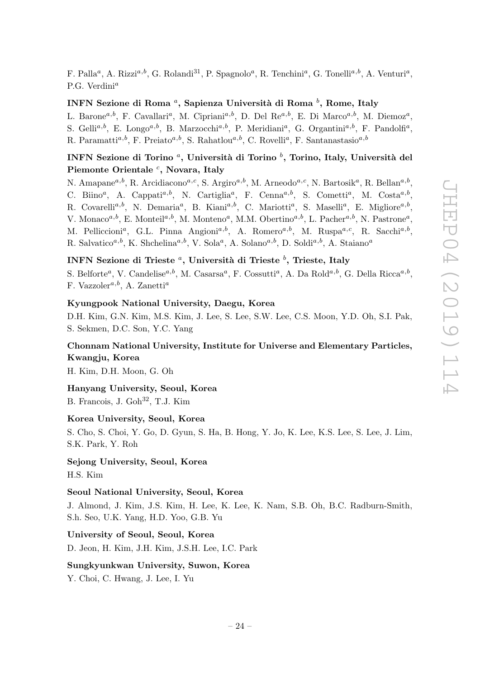F. Palla<sup>a</sup>, A. Rizzi<sup>a,b</sup>, G. Rolandi<sup>31</sup>, P. Spagnolo<sup>a</sup>, R. Tenchini<sup>a</sup>, G. Tonelli<sup>a,b</sup>, A. Venturi<sup>a</sup>, P.G. Verdini $^a$ 

# INFN Sezione di Roma <sup>a</sup>, Sapienza Università di Roma  $^b$ , Rome, Italy

L. Barone<sup>a,b</sup>, F. Cavallari<sup>a</sup>, M. Cipriani<sup>a,b</sup>, D. Del Re<sup>a,b</sup>, E. Di Marco<sup>a,b</sup>, M. Diemoz<sup>a</sup>, S. Gelli<sup>a,b</sup>, E. Longo<sup>a,b</sup>, B. Marzocchi<sup>a,b</sup>, P. Meridiani<sup>a</sup>, G. Organtini<sup>a,b</sup>, F. Pandolfi<sup>a</sup>, R. Paramatti<sup>a,b</sup>, F. Preiato<sup>a,b</sup>, S. Rahatlou<sup>a,b</sup>, C. Rovelli<sup>a</sup>, F. Santanastasio<sup>a,b</sup>

# INFN Sezione di Torino <sup>a</sup>, Università di Torino  $^b,$  Torino, Italy, Università del Piemonte Orientale  $^c$ , Novara, Italy

N. Amapane<sup>a,b</sup>, R. Arcidiacono<sup>a,c</sup>, S. Argiro<sup>a,b</sup>, M. Arneodo<sup>a,c</sup>, N. Bartosik<sup>a</sup>, R. Bellan<sup>a,b</sup>, C. Biino<sup>a</sup>, A. Cappati<sup>a,b</sup>, N. Cartiglia<sup>a</sup>, F. Cenna<sup>a,b</sup>, S. Cometti<sup>a</sup>, M. Costa<sup>a,b</sup>, R. Covarelli<sup>a,b</sup>, N. Demaria<sup>a</sup>, B. Kiani<sup>a,b</sup>, C. Mariotti<sup>a</sup>, S. Maselli<sup>a</sup>, E. Migliore<sup>a,b</sup>, V. Monaco<sup>a,b</sup>, E. Monteil<sup>a,b</sup>, M. Monteno<sup>a</sup>, M.M. Obertino<sup>a,b</sup>, L. Pacher<sup>a,b</sup>, N. Pastrone<sup>a</sup>, M. Pelliccioni<sup>a</sup>, G.L. Pinna Angioni<sup>a,b</sup>, A. Romero<sup>a,b</sup>, M. Ruspa<sup>a,c</sup>, R. Sacchi<sup>a,b</sup>, R. Salvatico<sup>a,b</sup>, K. Shchelina<sup>a,b</sup>, V. Sola<sup>a</sup>, A. Solano<sup>a,b</sup>, D. Soldi<sup>a,b</sup>, A. Staiano<sup>a</sup>

# INFN Sezione di Trieste <sup>a</sup>, Università di Trieste  $^b$ , Trieste, Italy

S. Belforte<sup>a</sup>, V. Candelise<sup>a,b</sup>, M. Casarsa<sup>a</sup>, F. Cossutti<sup>a</sup>, A. Da Rold<sup>a,b</sup>, G. Della Ricca<sup>a,b</sup>, F. Vazzoler<sup>a,b</sup>, A. Zanetti<sup>a</sup>

### Kyungpook National University, Daegu, Korea

D.H. Kim, G.N. Kim, M.S. Kim, J. Lee, S. Lee, S.W. Lee, C.S. Moon, Y.D. Oh, S.I. Pak, S. Sekmen, D.C. Son, Y.C. Yang

# Chonnam National University, Institute for Universe and Elementary Particles, Kwangju, Korea

H. Kim, D.H. Moon, G. Oh

# Hanyang University, Seoul, Korea

B. Francois, J. Goh<sup>32</sup>, T.J. Kim

### Korea University, Seoul, Korea

S. Cho, S. Choi, Y. Go, D. Gyun, S. Ha, B. Hong, Y. Jo, K. Lee, K.S. Lee, S. Lee, J. Lim, S.K. Park, Y. Roh

Sejong University, Seoul, Korea H.S. Kim

#### Seoul National University, Seoul, Korea

J. Almond, J. Kim, J.S. Kim, H. Lee, K. Lee, K. Nam, S.B. Oh, B.C. Radburn-Smith, S.h. Seo, U.K. Yang, H.D. Yoo, G.B. Yu

#### University of Seoul, Seoul, Korea

D. Jeon, H. Kim, J.H. Kim, J.S.H. Lee, I.C. Park

#### Sungkyunkwan University, Suwon, Korea

Y. Choi, C. Hwang, J. Lee, I. Yu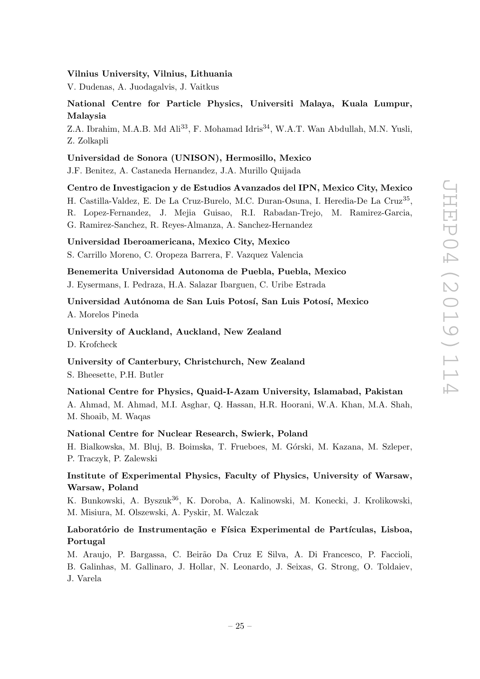#### Vilnius University, Vilnius, Lithuania

V. Dudenas, A. Juodagalvis, J. Vaitkus

# National Centre for Particle Physics, Universiti Malaya, Kuala Lumpur, Malaysia

Z.A. Ibrahim, M.A.B. Md Ali<sup>33</sup>, F. Mohamad Idris<sup>34</sup>, W.A.T. Wan Abdullah, M.N. Yusli, Z. Zolkapli

### Universidad de Sonora (UNISON), Hermosillo, Mexico

J.F. Benitez, A. Castaneda Hernandez, J.A. Murillo Quijada

#### Centro de Investigacion y de Estudios Avanzados del IPN, Mexico City, Mexico

H. Castilla-Valdez, E. De La Cruz-Burelo, M.C. Duran-Osuna, I. Heredia-De La Cruz<sup>35</sup>,

R. Lopez-Fernandez, J. Mejia Guisao, R.I. Rabadan-Trejo, M. Ramirez-Garcia,

G. Ramirez-Sanchez, R. Reyes-Almanza, A. Sanchez-Hernandez

#### Universidad Iberoamericana, Mexico City, Mexico

S. Carrillo Moreno, C. Oropeza Barrera, F. Vazquez Valencia

#### Benemerita Universidad Autonoma de Puebla, Puebla, Mexico

J. Eysermans, I. Pedraza, H.A. Salazar Ibarguen, C. Uribe Estrada

### Universidad Autónoma de San Luis Potosí, San Luis Potosí, Mexico A. Morelos Pineda

University of Auckland, Auckland, New Zealand

D. Krofcheck

#### University of Canterbury, Christchurch, New Zealand

S. Bheesette, P.H. Butler

#### National Centre for Physics, Quaid-I-Azam University, Islamabad, Pakistan

A. Ahmad, M. Ahmad, M.I. Asghar, Q. Hassan, H.R. Hoorani, W.A. Khan, M.A. Shah, M. Shoaib, M. Waqas

#### National Centre for Nuclear Research, Swierk, Poland

H. Bialkowska, M. Bluj, B. Boimska, T. Frueboes, M. Górski, M. Kazana, M. Szleper, P. Traczyk, P. Zalewski

# Institute of Experimental Physics, Faculty of Physics, University of Warsaw, Warsaw, Poland

K. Bunkowski, A. Byszuk<sup>36</sup>, K. Doroba, A. Kalinowski, M. Konecki, J. Krolikowski, M. Misiura, M. Olszewski, A. Pyskir, M. Walczak

# Laboratório de Instrumentação e Física Experimental de Partículas, Lisboa, Portugal

M. Araujo, P. Bargassa, C. Beirão Da Cruz E Silva, A. Di Francesco, P. Faccioli, B. Galinhas, M. Gallinaro, J. Hollar, N. Leonardo, J. Seixas, G. Strong, O. Toldaiev, J. Varela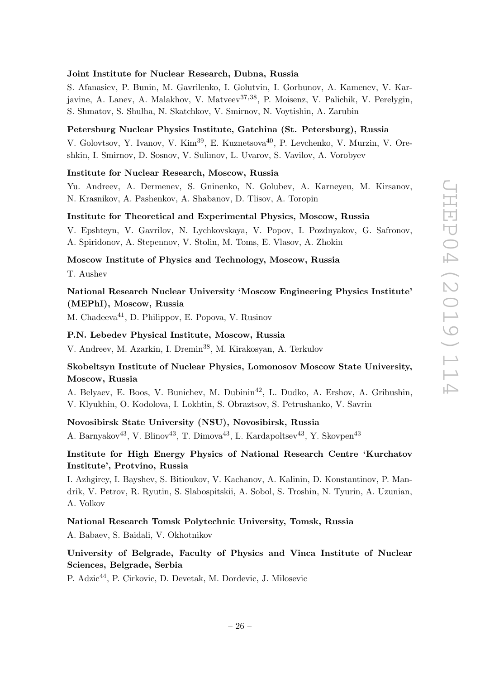#### Joint Institute for Nuclear Research, Dubna, Russia

S. Afanasiev, P. Bunin, M. Gavrilenko, I. Golutvin, I. Gorbunov, A. Kamenev, V. Karjavine, A. Lanev, A. Malakhov, V. Matveev<sup>37,38</sup>, P. Moisenz, V. Palichik, V. Perelygin, S. Shmatov, S. Shulha, N. Skatchkov, V. Smirnov, N. Voytishin, A. Zarubin

#### Petersburg Nuclear Physics Institute, Gatchina (St. Petersburg), Russia

V. Golovtsov, Y. Ivanov, V. Kim<sup>39</sup>, E. Kuznetsova<sup>40</sup>, P. Levchenko, V. Murzin, V. Oreshkin, I. Smirnov, D. Sosnov, V. Sulimov, L. Uvarov, S. Vavilov, A. Vorobyev

#### Institute for Nuclear Research, Moscow, Russia

Yu. Andreev, A. Dermenev, S. Gninenko, N. Golubev, A. Karneyeu, M. Kirsanov, N. Krasnikov, A. Pashenkov, A. Shabanov, D. Tlisov, A. Toropin

#### Institute for Theoretical and Experimental Physics, Moscow, Russia

V. Epshteyn, V. Gavrilov, N. Lychkovskaya, V. Popov, I. Pozdnyakov, G. Safronov, A. Spiridonov, A. Stepennov, V. Stolin, M. Toms, E. Vlasov, A. Zhokin

#### Moscow Institute of Physics and Technology, Moscow, Russia

T. Aushev

# National Research Nuclear University 'Moscow Engineering Physics Institute' (MEPhI), Moscow, Russia

M. Chadeeva41, D. Philippov, E. Popova, V. Rusinov

#### P.N. Lebedev Physical Institute, Moscow, Russia

V. Andreev, M. Azarkin, I. Dremin38, M. Kirakosyan, A. Terkulov

# Skobeltsyn Institute of Nuclear Physics, Lomonosov Moscow State University, Moscow, Russia

A. Belyaev, E. Boos, V. Bunichev, M. Dubinin<sup>42</sup>, L. Dudko, A. Ershov, A. Gribushin, V. Klyukhin, O. Kodolova, I. Lokhtin, S. Obraztsov, S. Petrushanko, V. Savrin

#### Novosibirsk State University (NSU), Novosibirsk, Russia

A. Barnyakov<sup>43</sup>, V. Blinov<sup>43</sup>, T. Dimova<sup>43</sup>, L. Kardapoltsev<sup>43</sup>, Y. Skovpen<sup>43</sup>

# Institute for High Energy Physics of National Research Centre 'Kurchatov Institute', Protvino, Russia

I. Azhgirey, I. Bayshev, S. Bitioukov, V. Kachanov, A. Kalinin, D. Konstantinov, P. Mandrik, V. Petrov, R. Ryutin, S. Slabospitskii, A. Sobol, S. Troshin, N. Tyurin, A. Uzunian, A. Volkov

### National Research Tomsk Polytechnic University, Tomsk, Russia

A. Babaev, S. Baidali, V. Okhotnikov

# University of Belgrade, Faculty of Physics and Vinca Institute of Nuclear Sciences, Belgrade, Serbia

P. Adzic44, P. Cirkovic, D. Devetak, M. Dordevic, J. Milosevic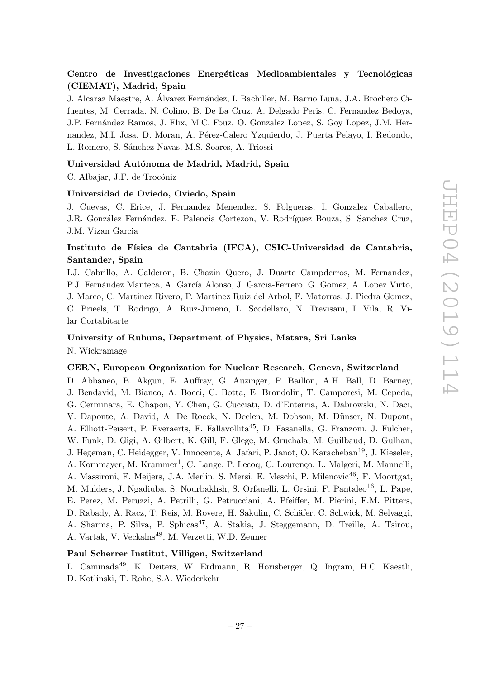# Centro de Investigaciones Energéticas Medioambientales y Tecnológicas (CIEMAT), Madrid, Spain

J. Alcaraz Maestre, A. Alvarez Fern´andez, I. Bachiller, M. Barrio Luna, J.A. Brochero Ci- ´ fuentes, M. Cerrada, N. Colino, B. De La Cruz, A. Delgado Peris, C. Fernandez Bedoya, J.P. Fern´andez Ramos, J. Flix, M.C. Fouz, O. Gonzalez Lopez, S. Goy Lopez, J.M. Hernandez, M.I. Josa, D. Moran, A. Pérez-Calero Yzquierdo, J. Puerta Pelayo, I. Redondo, L. Romero, S. Sánchez Navas, M.S. Soares, A. Triossi

### Universidad Autónoma de Madrid, Madrid, Spain

C. Albajar, J.F. de Trocóniz

#### Universidad de Oviedo, Oviedo, Spain

J. Cuevas, C. Erice, J. Fernandez Menendez, S. Folgueras, I. Gonzalez Caballero, J.R. González Fernández, E. Palencia Cortezon, V. Rodríguez Bouza, S. Sanchez Cruz, J.M. Vizan Garcia

# Instituto de Física de Cantabria (IFCA), CSIC-Universidad de Cantabria, Santander, Spain

I.J. Cabrillo, A. Calderon, B. Chazin Quero, J. Duarte Campderros, M. Fernandez, P.J. Fernández Manteca, A. García Alonso, J. Garcia-Ferrero, G. Gomez, A. Lopez Virto, J. Marco, C. Martinez Rivero, P. Martinez Ruiz del Arbol, F. Matorras, J. Piedra Gomez, C. Prieels, T. Rodrigo, A. Ruiz-Jimeno, L. Scodellaro, N. Trevisani, I. Vila, R. Vilar Cortabitarte

### University of Ruhuna, Department of Physics, Matara, Sri Lanka

N. Wickramage

#### CERN, European Organization for Nuclear Research, Geneva, Switzerland

D. Abbaneo, B. Akgun, E. Auffray, G. Auzinger, P. Baillon, A.H. Ball, D. Barney, J. Bendavid, M. Bianco, A. Bocci, C. Botta, E. Brondolin, T. Camporesi, M. Cepeda, G. Cerminara, E. Chapon, Y. Chen, G. Cucciati, D. d'Enterria, A. Dabrowski, N. Daci, V. Daponte, A. David, A. De Roeck, N. Deelen, M. Dobson, M. Dünser, N. Dupont, A. Elliott-Peisert, P. Everaerts, F. Fallavollita45, D. Fasanella, G. Franzoni, J. Fulcher, W. Funk, D. Gigi, A. Gilbert, K. Gill, F. Glege, M. Gruchala, M. Guilbaud, D. Gulhan, J. Hegeman, C. Heidegger, V. Innocente, A. Jafari, P. Janot, O. Karacheban<sup>19</sup>, J. Kieseler, A. Kornmayer, M. Krammer<sup>1</sup>, C. Lange, P. Lecoq, C. Lourenço, L. Malgeri, M. Mannelli, A. Massironi, F. Meijers, J.A. Merlin, S. Mersi, E. Meschi, P. Milenovic<sup>46</sup>, F. Moortgat, M. Mulders, J. Ngadiuba, S. Nourbakhsh, S. Orfanelli, L. Orsini, F. Pantaleo<sup>16</sup>, L. Pape, E. Perez, M. Peruzzi, A. Petrilli, G. Petrucciani, A. Pfeiffer, M. Pierini, F.M. Pitters, D. Rabady, A. Racz, T. Reis, M. Rovere, H. Sakulin, C. Schäfer, C. Schwick, M. Selvaggi, A. Sharma, P. Silva, P. Sphicas<sup>47</sup>, A. Stakia, J. Steggemann, D. Treille, A. Tsirou, A. Vartak, V. Veckalns<sup>48</sup>, M. Verzetti, W.D. Zeuner

# Paul Scherrer Institut, Villigen, Switzerland

L. Caminada49, K. Deiters, W. Erdmann, R. Horisberger, Q. Ingram, H.C. Kaestli, D. Kotlinski, T. Rohe, S.A. Wiederkehr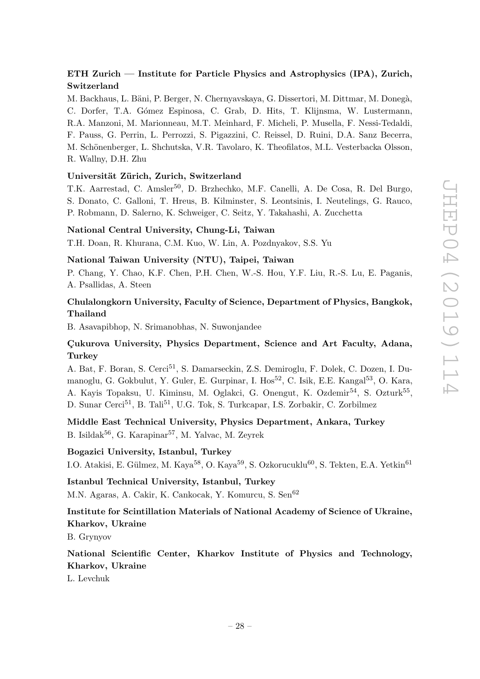# ETH Zurich — Institute for Particle Physics and Astrophysics (IPA), Zurich, Switzerland

M. Backhaus, L. Bäni, P. Berger, N. Chernyavskaya, G. Dissertori, M. Dittmar, M. Donegà, C. Dorfer, T.A. Gómez Espinosa, C. Grab, D. Hits, T. Kliinsma, W. Lustermann, R.A. Manzoni, M. Marionneau, M.T. Meinhard, F. Micheli, P. Musella, F. Nessi-Tedaldi, F. Pauss, G. Perrin, L. Perrozzi, S. Pigazzini, C. Reissel, D. Ruini, D.A. Sanz Becerra, M. Schönenberger, L. Shchutska, V.R. Tavolaro, K. Theofilatos, M.L. Vesterbacka Olsson, R. Wallny, D.H. Zhu

### Universität Zürich, Zurich, Switzerland

T.K. Aarrestad, C. Amsler<sup>50</sup>, D. Brzhechko, M.F. Canelli, A. De Cosa, R. Del Burgo, S. Donato, C. Galloni, T. Hreus, B. Kilminster, S. Leontsinis, I. Neutelings, G. Rauco, P. Robmann, D. Salerno, K. Schweiger, C. Seitz, Y. Takahashi, A. Zucchetta

#### National Central University, Chung-Li, Taiwan

T.H. Doan, R. Khurana, C.M. Kuo, W. Lin, A. Pozdnyakov, S.S. Yu

## National Taiwan University (NTU), Taipei, Taiwan

P. Chang, Y. Chao, K.F. Chen, P.H. Chen, W.-S. Hou, Y.F. Liu, R.-S. Lu, E. Paganis, A. Psallidas, A. Steen

# Chulalongkorn University, Faculty of Science, Department of Physics, Bangkok, Thailand

B. Asavapibhop, N. Srimanobhas, N. Suwonjandee

# Cukurova University, Physics Department, Science and Art Faculty, Adana, **Turkey**

A. Bat, F. Boran, S. Cerci<sup>51</sup>, S. Damarseckin, Z.S. Demiroglu, F. Dolek, C. Dozen, I. Dumanoglu, G. Gokbulut, Y. Guler, E. Gurpinar, I. Hos<sup>52</sup>, C. Isik, E.E. Kangal<sup>53</sup>, O. Kara, A. Kayis Topaksu, U. Kiminsu, M. Oglakci, G. Onengut, K. Ozdemir<sup>54</sup>, S. Ozturk<sup>55</sup>, D. Sunar Cerci<sup>51</sup>, B. Tali<sup>51</sup>, U.G. Tok, S. Turkcapar, I.S. Zorbakir, C. Zorbilmez

# Middle East Technical University, Physics Department, Ankara, Turkey

B. Isildak<sup>56</sup>, G. Karapinar<sup>57</sup>, M. Yalvac, M. Zeyrek

# Bogazici University, Istanbul, Turkey

I.O. Atakisi, E. Gülmez, M. Kaya<sup>58</sup>, O. Kaya<sup>59</sup>, S. Ozkorucuklu<sup>60</sup>, S. Tekten, E.A. Yetkin<sup>61</sup>

# Istanbul Technical University, Istanbul, Turkey M.N. Agaras, A. Cakir, K. Cankocak, Y. Komurcu, S. Sen<sup>62</sup>

# Institute for Scintillation Materials of National Academy of Science of Ukraine, Kharkov, Ukraine

B. Grynyov

# National Scientific Center, Kharkov Institute of Physics and Technology, Kharkov, Ukraine

L. Levchuk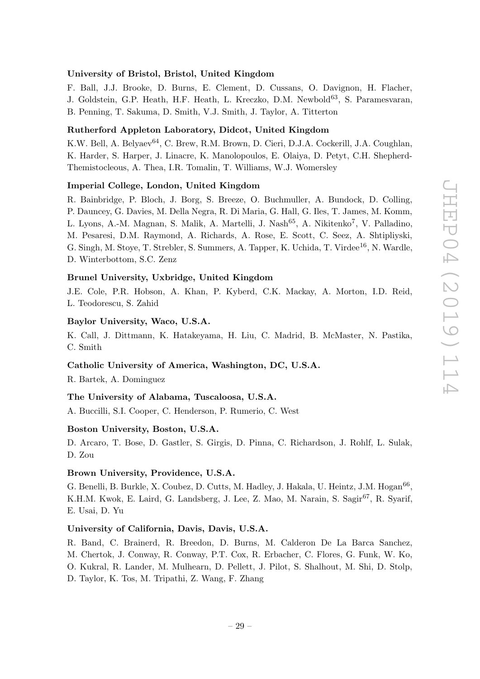### University of Bristol, Bristol, United Kingdom

F. Ball, J.J. Brooke, D. Burns, E. Clement, D. Cussans, O. Davignon, H. Flacher, J. Goldstein, G.P. Heath, H.F. Heath, L. Kreczko, D.M. Newbold<sup>63</sup>, S. Paramesvaran, B. Penning, T. Sakuma, D. Smith, V.J. Smith, J. Taylor, A. Titterton

#### Rutherford Appleton Laboratory, Didcot, United Kingdom

K.W. Bell, A. Belyaev<sup>64</sup>, C. Brew, R.M. Brown, D. Cieri, D.J.A. Cockerill, J.A. Coughlan, K. Harder, S. Harper, J. Linacre, K. Manolopoulos, E. Olaiya, D. Petyt, C.H. Shepherd-Themistocleous, A. Thea, I.R. Tomalin, T. Williams, W.J. Womersley

#### Imperial College, London, United Kingdom

R. Bainbridge, P. Bloch, J. Borg, S. Breeze, O. Buchmuller, A. Bundock, D. Colling, P. Dauncey, G. Davies, M. Della Negra, R. Di Maria, G. Hall, G. Iles, T. James, M. Komm, L. Lyons, A.-M. Magnan, S. Malik, A. Martelli, J. Nash<sup>65</sup>, A. Nikitenko<sup>7</sup>, V. Palladino, M. Pesaresi, D.M. Raymond, A. Richards, A. Rose, E. Scott, C. Seez, A. Shtipliyski, G. Singh, M. Stoye, T. Strebler, S. Summers, A. Tapper, K. Uchida, T. Virdee<sup>16</sup>, N. Wardle, D. Winterbottom, S.C. Zenz

#### Brunel University, Uxbridge, United Kingdom

J.E. Cole, P.R. Hobson, A. Khan, P. Kyberd, C.K. Mackay, A. Morton, I.D. Reid, L. Teodorescu, S. Zahid

### Baylor University, Waco, U.S.A.

K. Call, J. Dittmann, K. Hatakeyama, H. Liu, C. Madrid, B. McMaster, N. Pastika, C. Smith

### Catholic University of America, Washington, DC, U.S.A.

R. Bartek, A. Dominguez

### The University of Alabama, Tuscaloosa, U.S.A.

A. Buccilli, S.I. Cooper, C. Henderson, P. Rumerio, C. West

#### Boston University, Boston, U.S.A.

D. Arcaro, T. Bose, D. Gastler, S. Girgis, D. Pinna, C. Richardson, J. Rohlf, L. Sulak, D. Zou

### Brown University, Providence, U.S.A.

G. Benelli, B. Burkle, X. Coubez, D. Cutts, M. Hadley, J. Hakala, U. Heintz, J.M. Hogan<sup>66</sup>, K.H.M. Kwok, E. Laird, G. Landsberg, J. Lee, Z. Mao, M. Narain, S. Sagir<sup>67</sup>, R. Syarif, E. Usai, D. Yu

#### University of California, Davis, Davis, U.S.A.

R. Band, C. Brainerd, R. Breedon, D. Burns, M. Calderon De La Barca Sanchez, M. Chertok, J. Conway, R. Conway, P.T. Cox, R. Erbacher, C. Flores, G. Funk, W. Ko, O. Kukral, R. Lander, M. Mulhearn, D. Pellett, J. Pilot, S. Shalhout, M. Shi, D. Stolp, D. Taylor, K. Tos, M. Tripathi, Z. Wang, F. Zhang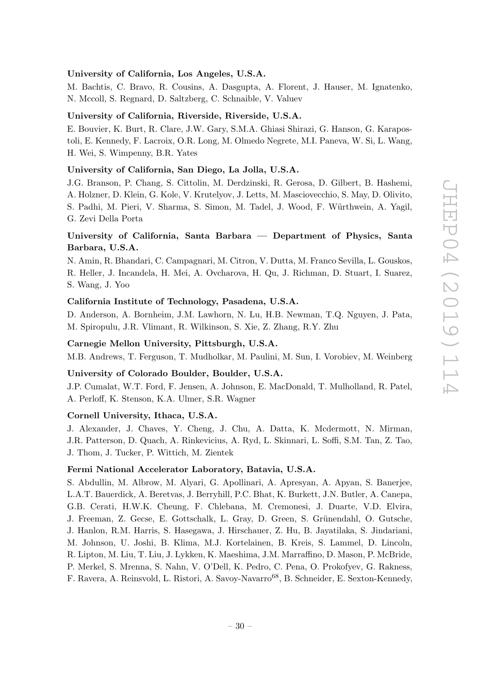### University of California, Los Angeles, U.S.A.

M. Bachtis, C. Bravo, R. Cousins, A. Dasgupta, A. Florent, J. Hauser, M. Ignatenko, N. Mccoll, S. Regnard, D. Saltzberg, C. Schnaible, V. Valuev

### University of California, Riverside, Riverside, U.S.A.

E. Bouvier, K. Burt, R. Clare, J.W. Gary, S.M.A. Ghiasi Shirazi, G. Hanson, G. Karapostoli, E. Kennedy, F. Lacroix, O.R. Long, M. Olmedo Negrete, M.I. Paneva, W. Si, L. Wang, H. Wei, S. Wimpenny, B.R. Yates

#### University of California, San Diego, La Jolla, U.S.A.

J.G. Branson, P. Chang, S. Cittolin, M. Derdzinski, R. Gerosa, D. Gilbert, B. Hashemi, A. Holzner, D. Klein, G. Kole, V. Krutelyov, J. Letts, M. Masciovecchio, S. May, D. Olivito, S. Padhi, M. Pieri, V. Sharma, S. Simon, M. Tadel, J. Wood, F. Würthwein, A. Yagil, G. Zevi Della Porta

# University of California, Santa Barbara — Department of Physics, Santa Barbara, U.S.A.

N. Amin, R. Bhandari, C. Campagnari, M. Citron, V. Dutta, M. Franco Sevilla, L. Gouskos, R. Heller, J. Incandela, H. Mei, A. Ovcharova, H. Qu, J. Richman, D. Stuart, I. Suarez, S. Wang, J. Yoo

#### California Institute of Technology, Pasadena, U.S.A.

D. Anderson, A. Bornheim, J.M. Lawhorn, N. Lu, H.B. Newman, T.Q. Nguyen, J. Pata, M. Spiropulu, J.R. Vlimant, R. Wilkinson, S. Xie, Z. Zhang, R.Y. Zhu

#### Carnegie Mellon University, Pittsburgh, U.S.A.

M.B. Andrews, T. Ferguson, T. Mudholkar, M. Paulini, M. Sun, I. Vorobiev, M. Weinberg

#### University of Colorado Boulder, Boulder, U.S.A.

J.P. Cumalat, W.T. Ford, F. Jensen, A. Johnson, E. MacDonald, T. Mulholland, R. Patel, A. Perloff, K. Stenson, K.A. Ulmer, S.R. Wagner

#### Cornell University, Ithaca, U.S.A.

J. Alexander, J. Chaves, Y. Cheng, J. Chu, A. Datta, K. Mcdermott, N. Mirman, J.R. Patterson, D. Quach, A. Rinkevicius, A. Ryd, L. Skinnari, L. Soffi, S.M. Tan, Z. Tao, J. Thom, J. Tucker, P. Wittich, M. Zientek

#### Fermi National Accelerator Laboratory, Batavia, U.S.A.

S. Abdullin, M. Albrow, M. Alyari, G. Apollinari, A. Apresyan, A. Apyan, S. Banerjee, L.A.T. Bauerdick, A. Beretvas, J. Berryhill, P.C. Bhat, K. Burkett, J.N. Butler, A. Canepa, G.B. Cerati, H.W.K. Cheung, F. Chlebana, M. Cremonesi, J. Duarte, V.D. Elvira, J. Freeman, Z. Gecse, E. Gottschalk, L. Gray, D. Green, S. Grünendahl, O. Gutsche, J. Hanlon, R.M. Harris, S. Hasegawa, J. Hirschauer, Z. Hu, B. Jayatilaka, S. Jindariani, M. Johnson, U. Joshi, B. Klima, M.J. Kortelainen, B. Kreis, S. Lammel, D. Lincoln, R. Lipton, M. Liu, T. Liu, J. Lykken, K. Maeshima, J.M. Marraffino, D. Mason, P. McBride, P. Merkel, S. Mrenna, S. Nahn, V. O'Dell, K. Pedro, C. Pena, O. Prokofyev, G. Rakness, F. Ravera, A. Reinsvold, L. Ristori, A. Savoy-Navarro<sup>68</sup>, B. Schneider, E. Sexton-Kennedy,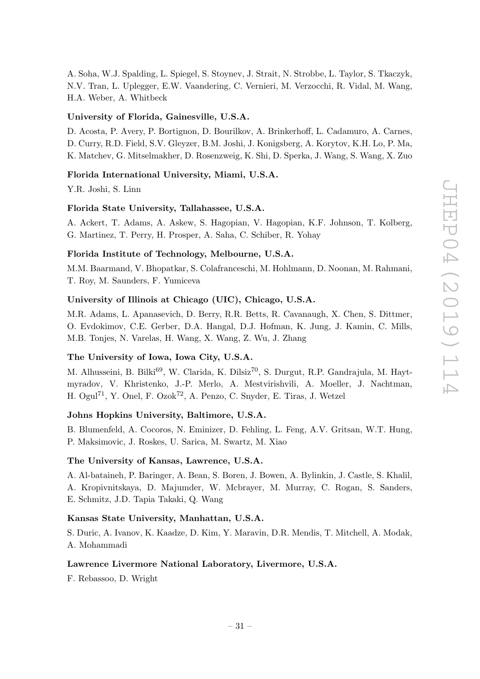A. Soha, W.J. Spalding, L. Spiegel, S. Stoynev, J. Strait, N. Strobbe, L. Taylor, S. Tkaczyk, N.V. Tran, L. Uplegger, E.W. Vaandering, C. Vernieri, M. Verzocchi, R. Vidal, M. Wang, H.A. Weber, A. Whitbeck

#### University of Florida, Gainesville, U.S.A.

D. Acosta, P. Avery, P. Bortignon, D. Bourilkov, A. Brinkerhoff, L. Cadamuro, A. Carnes, D. Curry, R.D. Field, S.V. Gleyzer, B.M. Joshi, J. Konigsberg, A. Korytov, K.H. Lo, P. Ma, K. Matchev, G. Mitselmakher, D. Rosenzweig, K. Shi, D. Sperka, J. Wang, S. Wang, X. Zuo

#### Florida International University, Miami, U.S.A.

Y.R. Joshi, S. Linn

#### Florida State University, Tallahassee, U.S.A.

A. Ackert, T. Adams, A. Askew, S. Hagopian, V. Hagopian, K.F. Johnson, T. Kolberg, G. Martinez, T. Perry, H. Prosper, A. Saha, C. Schiber, R. Yohay

### Florida Institute of Technology, Melbourne, U.S.A.

M.M. Baarmand, V. Bhopatkar, S. Colafranceschi, M. Hohlmann, D. Noonan, M. Rahmani, T. Roy, M. Saunders, F. Yumiceva

### University of Illinois at Chicago (UIC), Chicago, U.S.A.

M.R. Adams, L. Apanasevich, D. Berry, R.R. Betts, R. Cavanaugh, X. Chen, S. Dittmer, O. Evdokimov, C.E. Gerber, D.A. Hangal, D.J. Hofman, K. Jung, J. Kamin, C. Mills, M.B. Tonjes, N. Varelas, H. Wang, X. Wang, Z. Wu, J. Zhang

# The University of Iowa, Iowa City, U.S.A.

M. Alhusseini, B. Bilki<sup>69</sup>, W. Clarida, K. Dilsiz<sup>70</sup>, S. Durgut, R.P. Gandrajula, M. Haytmyradov, V. Khristenko, J.-P. Merlo, A. Mestvirishvili, A. Moeller, J. Nachtman, H. Ogul71, Y. Onel, F. Ozok72, A. Penzo, C. Snyder, E. Tiras, J. Wetzel

### Johns Hopkins University, Baltimore, U.S.A.

B. Blumenfeld, A. Cocoros, N. Eminizer, D. Fehling, L. Feng, A.V. Gritsan, W.T. Hung, P. Maksimovic, J. Roskes, U. Sarica, M. Swartz, M. Xiao

#### The University of Kansas, Lawrence, U.S.A.

A. Al-bataineh, P. Baringer, A. Bean, S. Boren, J. Bowen, A. Bylinkin, J. Castle, S. Khalil, A. Kropivnitskaya, D. Majumder, W. Mcbrayer, M. Murray, C. Rogan, S. Sanders, E. Schmitz, J.D. Tapia Takaki, Q. Wang

#### Kansas State University, Manhattan, U.S.A.

S. Duric, A. Ivanov, K. Kaadze, D. Kim, Y. Maravin, D.R. Mendis, T. Mitchell, A. Modak, A. Mohammadi

#### Lawrence Livermore National Laboratory, Livermore, U.S.A.

F. Rebassoo, D. Wright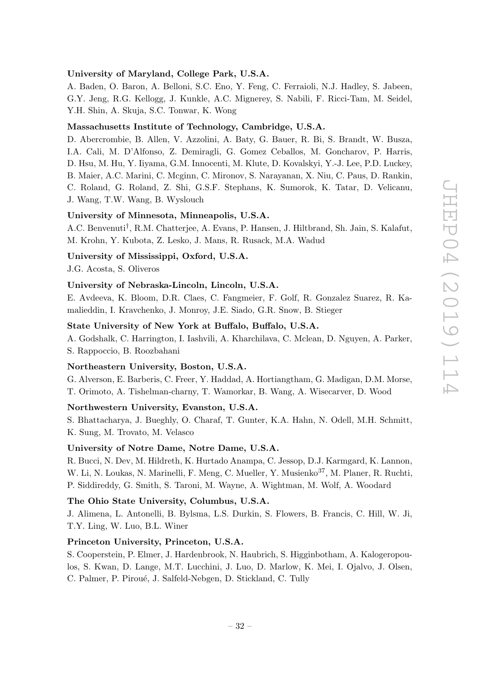#### University of Maryland, College Park, U.S.A.

A. Baden, O. Baron, A. Belloni, S.C. Eno, Y. Feng, C. Ferraioli, N.J. Hadley, S. Jabeen, G.Y. Jeng, R.G. Kellogg, J. Kunkle, A.C. Mignerey, S. Nabili, F. Ricci-Tam, M. Seidel, Y.H. Shin, A. Skuja, S.C. Tonwar, K. Wong

#### Massachusetts Institute of Technology, Cambridge, U.S.A.

D. Abercrombie, B. Allen, V. Azzolini, A. Baty, G. Bauer, R. Bi, S. Brandt, W. Busza, I.A. Cali, M. D'Alfonso, Z. Demiragli, G. Gomez Ceballos, M. Goncharov, P. Harris, D. Hsu, M. Hu, Y. Iiyama, G.M. Innocenti, M. Klute, D. Kovalskyi, Y.-J. Lee, P.D. Luckey, B. Maier, A.C. Marini, C. Mcginn, C. Mironov, S. Narayanan, X. Niu, C. Paus, D. Rankin, C. Roland, G. Roland, Z. Shi, G.S.F. Stephans, K. Sumorok, K. Tatar, D. Velicanu, J. Wang, T.W. Wang, B. Wyslouch

### University of Minnesota, Minneapolis, U.S.A.

A.C. Benvenuti† , R.M. Chatterjee, A. Evans, P. Hansen, J. Hiltbrand, Sh. Jain, S. Kalafut, M. Krohn, Y. Kubota, Z. Lesko, J. Mans, R. Rusack, M.A. Wadud

#### University of Mississippi, Oxford, U.S.A.

J.G. Acosta, S. Oliveros

#### University of Nebraska-Lincoln, Lincoln, U.S.A.

E. Avdeeva, K. Bloom, D.R. Claes, C. Fangmeier, F. Golf, R. Gonzalez Suarez, R. Kamalieddin, I. Kravchenko, J. Monroy, J.E. Siado, G.R. Snow, B. Stieger

### State University of New York at Buffalo, Buffalo, U.S.A.

A. Godshalk, C. Harrington, I. Iashvili, A. Kharchilava, C. Mclean, D. Nguyen, A. Parker, S. Rappoccio, B. Roozbahani

### Northeastern University, Boston, U.S.A.

G. Alverson, E. Barberis, C. Freer, Y. Haddad, A. Hortiangtham, G. Madigan, D.M. Morse, T. Orimoto, A. Tishelman-charny, T. Wamorkar, B. Wang, A. Wisecarver, D. Wood

### Northwestern University, Evanston, U.S.A.

S. Bhattacharya, J. Bueghly, O. Charaf, T. Gunter, K.A. Hahn, N. Odell, M.H. Schmitt, K. Sung, M. Trovato, M. Velasco

#### University of Notre Dame, Notre Dame, U.S.A.

R. Bucci, N. Dev, M. Hildreth, K. Hurtado Anampa, C. Jessop, D.J. Karmgard, K. Lannon, W. Li, N. Loukas, N. Marinelli, F. Meng, C. Mueller, Y. Musienko<sup>37</sup>, M. Planer, R. Ruchti, P. Siddireddy, G. Smith, S. Taroni, M. Wayne, A. Wightman, M. Wolf, A. Woodard

### The Ohio State University, Columbus, U.S.A.

J. Alimena, L. Antonelli, B. Bylsma, L.S. Durkin, S. Flowers, B. Francis, C. Hill, W. Ji, T.Y. Ling, W. Luo, B.L. Winer

#### Princeton University, Princeton, U.S.A.

S. Cooperstein, P. Elmer, J. Hardenbrook, N. Haubrich, S. Higginbotham, A. Kalogeropoulos, S. Kwan, D. Lange, M.T. Lucchini, J. Luo, D. Marlow, K. Mei, I. Ojalvo, J. Olsen, C. Palmer, P. Piroué, J. Salfeld-Nebgen, D. Stickland, C. Tully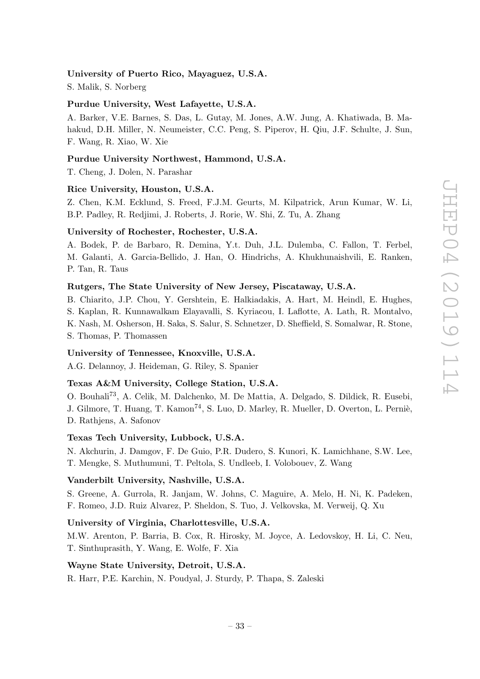#### University of Puerto Rico, Mayaguez, U.S.A.

S. Malik, S. Norberg

#### Purdue University, West Lafayette, U.S.A.

A. Barker, V.E. Barnes, S. Das, L. Gutay, M. Jones, A.W. Jung, A. Khatiwada, B. Mahakud, D.H. Miller, N. Neumeister, C.C. Peng, S. Piperov, H. Qiu, J.F. Schulte, J. Sun, F. Wang, R. Xiao, W. Xie

#### Purdue University Northwest, Hammond, U.S.A.

T. Cheng, J. Dolen, N. Parashar

### Rice University, Houston, U.S.A.

Z. Chen, K.M. Ecklund, S. Freed, F.J.M. Geurts, M. Kilpatrick, Arun Kumar, W. Li, B.P. Padley, R. Redjimi, J. Roberts, J. Rorie, W. Shi, Z. Tu, A. Zhang

#### University of Rochester, Rochester, U.S.A.

A. Bodek, P. de Barbaro, R. Demina, Y.t. Duh, J.L. Dulemba, C. Fallon, T. Ferbel, M. Galanti, A. Garcia-Bellido, J. Han, O. Hindrichs, A. Khukhunaishvili, E. Ranken, P. Tan, R. Taus

### Rutgers, The State University of New Jersey, Piscataway, U.S.A.

B. Chiarito, J.P. Chou, Y. Gershtein, E. Halkiadakis, A. Hart, M. Heindl, E. Hughes, S. Kaplan, R. Kunnawalkam Elayavalli, S. Kyriacou, I. Laflotte, A. Lath, R. Montalvo, K. Nash, M. Osherson, H. Saka, S. Salur, S. Schnetzer, D. Sheffield, S. Somalwar, R. Stone, S. Thomas, P. Thomassen

## University of Tennessee, Knoxville, U.S.A.

A.G. Delannoy, J. Heideman, G. Riley, S. Spanier

### Texas A&M University, College Station, U.S.A.

O. Bouhali73, A. Celik, M. Dalchenko, M. De Mattia, A. Delgado, S. Dildick, R. Eusebi, J. Gilmore, T. Huang, T. Kamon<sup>74</sup>, S. Luo, D. Marley, R. Mueller, D. Overton, L. Perniè, D. Rathjens, A. Safonov

### Texas Tech University, Lubbock, U.S.A.

N. Akchurin, J. Damgov, F. De Guio, P.R. Dudero, S. Kunori, K. Lamichhane, S.W. Lee, T. Mengke, S. Muthumuni, T. Peltola, S. Undleeb, I. Volobouev, Z. Wang

#### Vanderbilt University, Nashville, U.S.A.

S. Greene, A. Gurrola, R. Janjam, W. Johns, C. Maguire, A. Melo, H. Ni, K. Padeken, F. Romeo, J.D. Ruiz Alvarez, P. Sheldon, S. Tuo, J. Velkovska, M. Verweij, Q. Xu

#### University of Virginia, Charlottesville, U.S.A.

M.W. Arenton, P. Barria, B. Cox, R. Hirosky, M. Joyce, A. Ledovskoy, H. Li, C. Neu, T. Sinthuprasith, Y. Wang, E. Wolfe, F. Xia

#### Wayne State University, Detroit, U.S.A.

R. Harr, P.E. Karchin, N. Poudyal, J. Sturdy, P. Thapa, S. Zaleski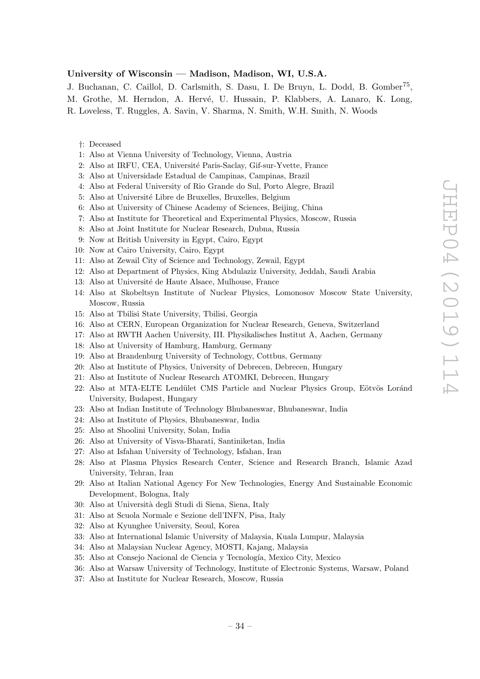### University of Wisconsin — Madison, Madison, WI, U.S.A.

J. Buchanan, C. Caillol, D. Carlsmith, S. Dasu, I. De Bruyn, L. Dodd, B. Gomber<sup>75</sup>, M. Grothe, M. Herndon, A. Hervé, U. Hussain, P. Klabbers, A. Lanaro, K. Long, R. Loveless, T. Ruggles, A. Savin, V. Sharma, N. Smith, W.H. Smith, N. Woods

- †: Deceased
- 1: Also at Vienna University of Technology, Vienna, Austria
- 2: Also at IRFU, CEA, Université Paris-Saclay, Gif-sur-Yvette, France
- 3: Also at Universidade Estadual de Campinas, Campinas, Brazil
- 4: Also at Federal University of Rio Grande do Sul, Porto Alegre, Brazil
- 5: Also at Université Libre de Bruxelles, Bruxelles, Belgium
- 6: Also at University of Chinese Academy of Sciences, Beijing, China
- 7: Also at Institute for Theoretical and Experimental Physics, Moscow, Russia
- 8: Also at Joint Institute for Nuclear Research, Dubna, Russia
- 9: Now at British University in Egypt, Cairo, Egypt
- 10: Now at Cairo University, Cairo, Egypt
- 11: Also at Zewail City of Science and Technology, Zewail, Egypt
- 12: Also at Department of Physics, King Abdulaziz University, Jeddah, Saudi Arabia
- 13: Also at Université de Haute Alsace, Mulhouse, France
- 14: Also at Skobeltsyn Institute of Nuclear Physics, Lomonosov Moscow State University, Moscow, Russia
- 15: Also at Tbilisi State University, Tbilisi, Georgia
- 16: Also at CERN, European Organization for Nuclear Research, Geneva, Switzerland
- 17: Also at RWTH Aachen University, III. Physikalisches Institut A, Aachen, Germany
- 18: Also at University of Hamburg, Hamburg, Germany
- 19: Also at Brandenburg University of Technology, Cottbus, Germany
- 20: Also at Institute of Physics, University of Debrecen, Debrecen, Hungary
- 21: Also at Institute of Nuclear Research ATOMKI, Debrecen, Hungary
- 22: Also at MTA-ELTE Lendület CMS Particle and Nuclear Physics Group, Eötvös Loránd University, Budapest, Hungary
- 23: Also at Indian Institute of Technology Bhubaneswar, Bhubaneswar, India
- 24: Also at Institute of Physics, Bhubaneswar, India
- 25: Also at Shoolini University, Solan, India
- 26: Also at University of Visva-Bharati, Santiniketan, India
- 27: Also at Isfahan University of Technology, Isfahan, Iran
- 28: Also at Plasma Physics Research Center, Science and Research Branch, Islamic Azad University, Tehran, Iran
- 29: Also at Italian National Agency For New Technologies, Energy And Sustainable Economic Development, Bologna, Italy
- 30: Also at Universit`a degli Studi di Siena, Siena, Italy
- 31: Also at Scuola Normale e Sezione dell'INFN, Pisa, Italy
- 32: Also at Kyunghee University, Seoul, Korea
- 33: Also at International Islamic University of Malaysia, Kuala Lumpur, Malaysia
- 34: Also at Malaysian Nuclear Agency, MOSTI, Kajang, Malaysia
- 35: Also at Consejo Nacional de Ciencia y Tecnología, Mexico City, Mexico
- 36: Also at Warsaw University of Technology, Institute of Electronic Systems, Warsaw, Poland
- 37: Also at Institute for Nuclear Research, Moscow, Russia